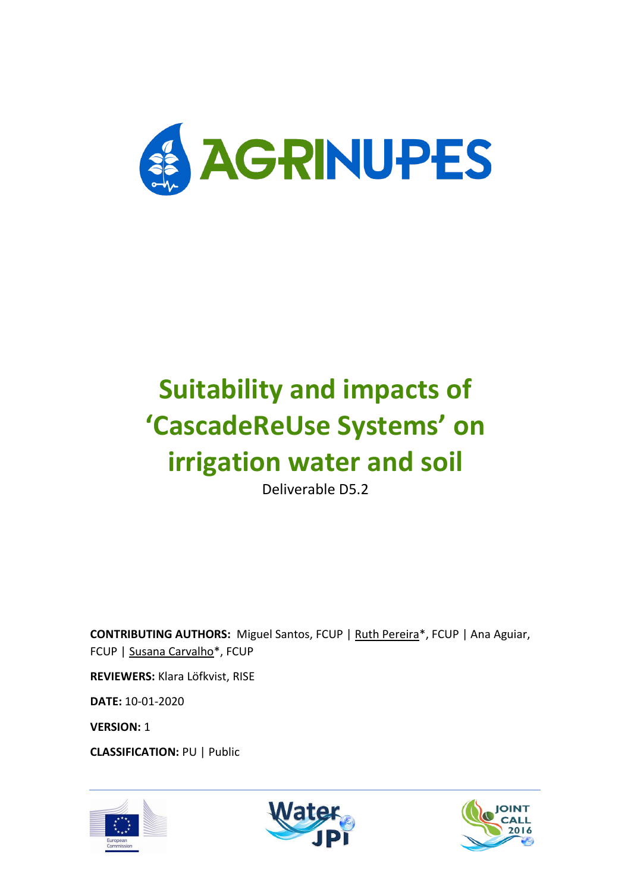

# **Suitability and impacts of 'CascadeReUse Systems' on irrigation water and soil**

Deliverable D5.2

**CONTRIBUTING AUTHORS:** Miguel Santos, FCUP | Ruth Pereira\*, FCUP | Ana Aguiar, FCUP | Susana Carvalho\*, FCUP

**REVIEWERS:** Klara Löfkvist, RISE

**DATE:** 10-01-2020

**VERSION:** 1

**CLASSIFICATION:** PU | Public





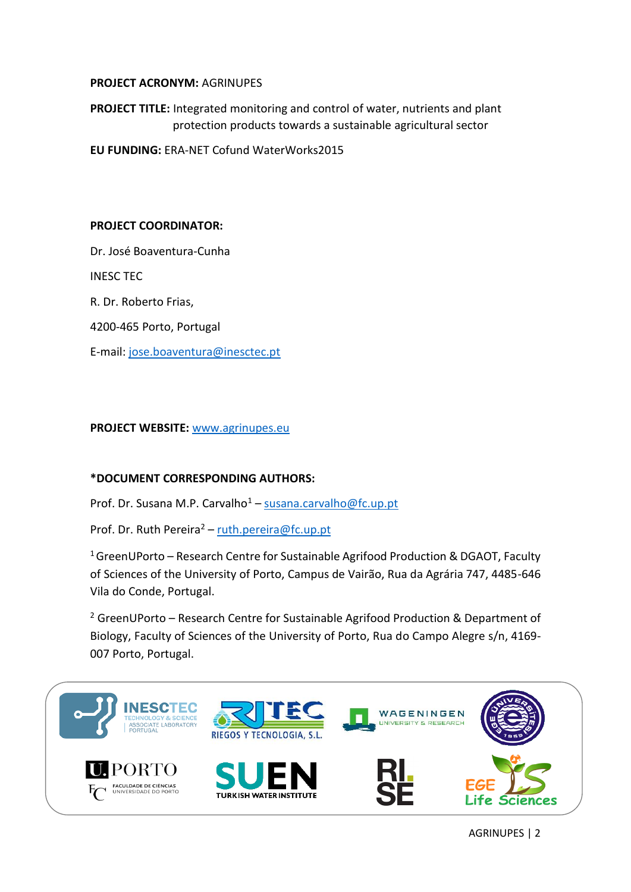#### **PROJECT ACRONYM:** AGRINUPES

**PROJECT TITLE:** Integrated monitoring and control of water, nutrients and plant protection products towards a sustainable agricultural sector

**EU FUNDING:** ERA-NET Cofund WaterWorks2015

#### **PROJECT COORDINATOR:**

Dr. José Boaventura-Cunha

INESC TEC

R. Dr. Roberto Frias,

4200-465 Porto, Portugal

E-mail: [jose.boaventura@inesctec.pt](mailto:jose.boaventura@inesctec.pt)

#### **PROJECT WEBSITE:** [www.agrinupes.eu](http://www.agrinupes.eu/)

#### **\*DOCUMENT CORRESPONDING AUTHORS:**

Prof. Dr. Susana M.P. Carvalho<sup>1</sup> – [susana.carvalho@fc.up.pt](mailto:susana.carvalho@fc.up.pt)

Prof. Dr. Ruth Pereira<sup>2</sup> – [ruth.pereira@fc.up.pt](mailto:ruth.pereira@fc.up.pt)

 $1$  GreenUPorto – Research Centre for Sustainable Agrifood Production & DGAOT, Faculty of Sciences of the University of Porto, Campus de Vairão, Rua da Agrária 747, 4485-646 Vila do Conde, Portugal.

 $2$  GreenUPorto – Research Centre for Sustainable Agrifood Production & Department of Biology, Faculty of Sciences of the University of Porto, Rua do Campo Alegre s/n, 4169- 007 Porto, Portugal.

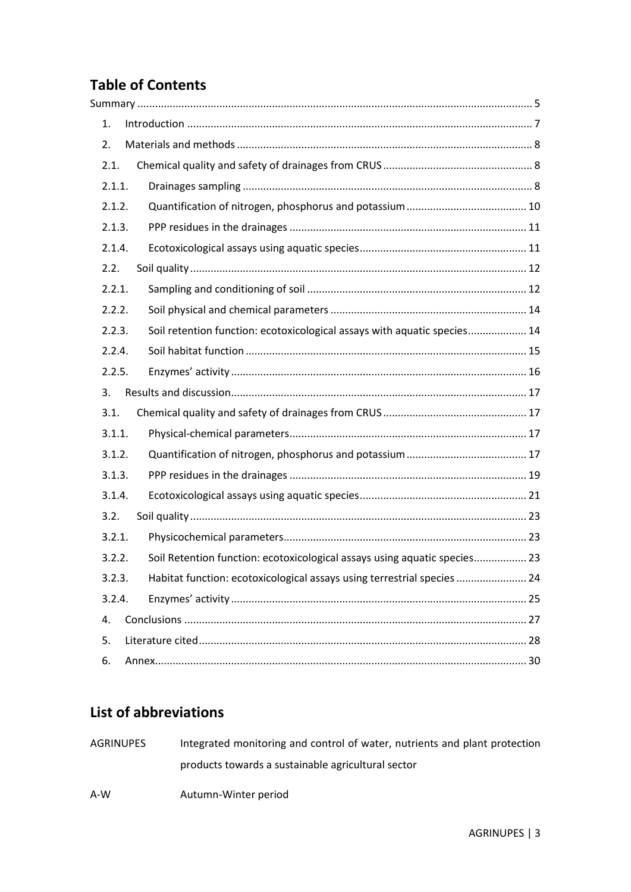# **Table of Contents**

| 1.                                                                                  |  |
|-------------------------------------------------------------------------------------|--|
| 2.                                                                                  |  |
| 2.1.                                                                                |  |
| 2.1.1.                                                                              |  |
| 2.1.2.                                                                              |  |
| 2.1.3.                                                                              |  |
| 2.1.4.                                                                              |  |
| 2.2.                                                                                |  |
| 2.2.1.                                                                              |  |
| 2.2.2.                                                                              |  |
| Soil retention function: ecotoxicological assays with aquatic species 14<br>2.2.3.  |  |
| 2.2.4.                                                                              |  |
| 2.2.5.                                                                              |  |
| 3.                                                                                  |  |
| 3.1.                                                                                |  |
| 3.1.1.                                                                              |  |
| 3.1.2.                                                                              |  |
| 3.1.3.                                                                              |  |
| 3.1.4.                                                                              |  |
| 3.2.                                                                                |  |
| 3.2.1.                                                                              |  |
| Soil Retention function: ecotoxicological assays using aquatic species 23<br>3.2.2. |  |
| Habitat function: ecotoxicological assays using terrestrial species  24<br>3.2.3.   |  |
| 3.2.4.                                                                              |  |
| 4.                                                                                  |  |
| 5.                                                                                  |  |
| 6.                                                                                  |  |

## **List of abbreviations**

| AGRINUPES | Integrated monitoring and control of water, nutrients and plant protection |
|-----------|----------------------------------------------------------------------------|
|           | products towards a sustainable agricultural sector                         |
| A-W       | Autumn-Winter period                                                       |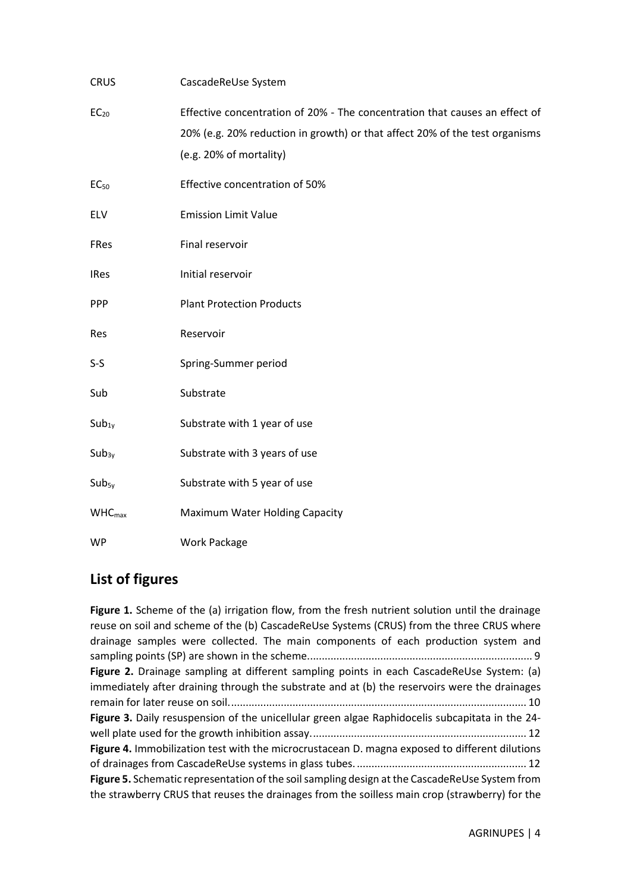| <b>CRUS</b>        | CascadeReUse System                                                                                                                                                                   |
|--------------------|---------------------------------------------------------------------------------------------------------------------------------------------------------------------------------------|
| EC <sub>20</sub>   | Effective concentration of 20% - The concentration that causes an effect of<br>20% (e.g. 20% reduction in growth) or that affect 20% of the test organisms<br>(e.g. 20% of mortality) |
| EC <sub>50</sub>   | Effective concentration of 50%                                                                                                                                                        |
| ELV                | <b>Emission Limit Value</b>                                                                                                                                                           |
| <b>FRes</b>        | Final reservoir                                                                                                                                                                       |
| <b>IRes</b>        | Initial reservoir                                                                                                                                                                     |
| <b>PPP</b>         | <b>Plant Protection Products</b>                                                                                                                                                      |
| Res                | Reservoir                                                                                                                                                                             |
| $S-S$              | Spring-Summer period                                                                                                                                                                  |
| Sub                | Substrate                                                                                                                                                                             |
| $Sub_{1y}$         | Substrate with 1 year of use                                                                                                                                                          |
| $Sub_{3y}$         | Substrate with 3 years of use                                                                                                                                                         |
| $Sub_{5y}$         | Substrate with 5 year of use                                                                                                                                                          |
| WHC <sub>max</sub> | Maximum Water Holding Capacity                                                                                                                                                        |
| <b>WP</b>          | <b>Work Package</b>                                                                                                                                                                   |

## **List of figures**

Figure 1. Scheme of the (a) irrigation flow, from the fresh nutrient solution until the drainage [reuse on soil and scheme of the \(b\) CascadeReUse Systems \(CRUS\) from the three CRUS where](#page-8-0)  [drainage samples were collected. The main components of each production system and](#page-8-0)  [sampling points \(SP\) are shown in the scheme.............................................................................](#page-8-0) 9 **Figure 2.** [Drainage sampling at different sampling points](#page-9-1) in each CascadeReUse System: (a) [immediately after draining through the substrate and at \(b\) the reservoirs were the drainages](#page-9-1)  [remain for later reuse on soil......................................................................................................](#page-9-1) 10 **Figure 3.** [Daily resuspension of the unicellular green algae Raphidocelis subcapitata in the 24](#page-11-2) [well plate used for the growth inhibition assay..........................................................................](#page-11-2) 12 **Figure 4.** [Immobilization test with the microcrustacean D. magna exposed to different dilutions](#page-11-3)  [of drainages from CascadeReUse systems in glass](#page-11-3) tubes. .......................................................... 12 **Figure 5.** [Schematic representation of the soil sampling design at the CascadeReUse System from](#page-12-0)  [the strawberry CRUS that reuses the drainages from the soilless main crop \(strawberry\) for the](#page-12-0)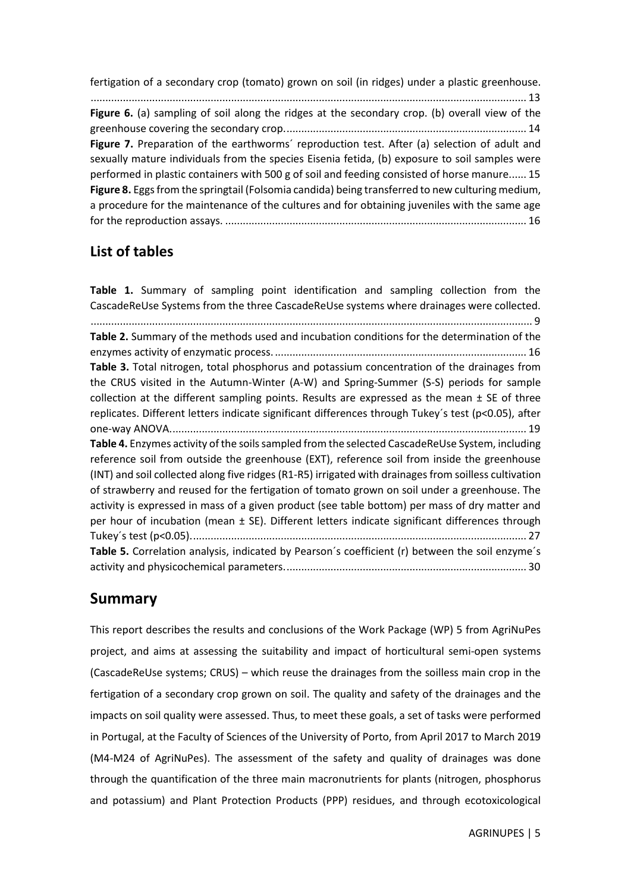[fertigation of a secondary crop \(tomato\) grown on soil \(in ridges\) under a plastic greenhouse.](#page-12-0) [.....................................................................................................................................................](#page-12-0) 13 **Figure 6.** (a) sampling of soil along the ridges at the secondary crop. (b) overall view of the [greenhouse covering the secondary crop...................................................................................](#page-13-2) 14 Figure 7. Preparation of the earthworms' reproduction test. After (a) selection of adult and [sexually mature individuals from the species Eisenia fetida, \(b\) exposure to soil samples were](#page-14-1)  [performed in plastic containers with 500 g of soil and feeding consisted of horse manure......](#page-14-1) 15 **Figure 8.** [Eggs from the springtail \(Folsomia candida\) being transferred to new culturing medium,](#page-15-1)  [a procedure for the maintenance of the cultures and for obtaining juveniles with the same age](#page-15-1)  for the reproduction assays. [.......................................................................................................](#page-15-1) 16

## **List of tables**

**Table 1.** [Summary of sampling point identification and sampling collection from the](#page-8-1)  [CascadeReUse Systems from the three CascadeReUse systems where drainages were collected.](#page-8-1) [.......................................................................................................................................................](#page-8-1) 9 **Table 2.** [Summary of the methods used and incubation conditions for the determination of the](#page-15-2)  enzymes activity of enzymatic process. [......................................................................................](#page-15-2) 16 **Table 3.** [Total nitrogen, total phosphorus and potassium concentration of the](#page-18-1) drainages from [the CRUS visited in the Autumn-Winter \(A-W\) and Spring-Summer \(S-S\) periods for sample](#page-18-1)  collection at the different sampling points. Results are expressed as the mean  $\pm$  SE of three [replicates. Different letters indicate significant differences through Tukey´s test \(p<0.05\), after](#page-18-1)  [one-way ANOVA..........................................................................................................................](#page-18-1) 19 **Table 4.** [Enzymes activity of the soils sampled from the selected CascadeReUse System, including](#page-26-1)  [reference soil from outside the greenhouse \(EXT\), reference soil from inside the greenhouse](#page-26-1)  [\(INT\) and soil collected along five ridges \(R1-R5\) irrigated with drainages from soilless cultivation](#page-26-1)  [of strawberry and reused for the fertigation of tomato grown on soil under a greenhouse. The](#page-26-1)  [activity is expressed in mass of a given product \(see table bottom\) per mass of dry matter and](#page-26-1)  [per hour of incubation \(mean ± SE\). Different letters indicate significant differences through](#page-26-1)  [Tukey´s test \(p<0.05\)...................................................................................................................](#page-26-1) 27 **Table 5.** [Correlation analysis, indicated by Pearson´s coefficient \(r\) between the soil enzyme´s](#page-29-1)  [activity and physicochemical parameters...................................................................................](#page-29-1) 30

## <span id="page-4-0"></span>**Summary**

This report describes the results and conclusions of the Work Package (WP) 5 from AgriNuPes project, and aims at assessing the suitability and impact of horticultural semi-open systems (CascadeReUse systems; CRUS) – which reuse the drainages from the soilless main crop in the fertigation of a secondary crop grown on soil. The quality and safety of the drainages and the impacts on soil quality were assessed. Thus, to meet these goals, a set of tasks were performed in Portugal, at the Faculty of Sciences of the University of Porto, from April 2017 to March 2019 (M4-M24 of AgriNuPes). The assessment of the safety and quality of drainages was done through the quantification of the three main macronutrients for plants (nitrogen, phosphorus and potassium) and Plant Protection Products (PPP) residues, and through ecotoxicological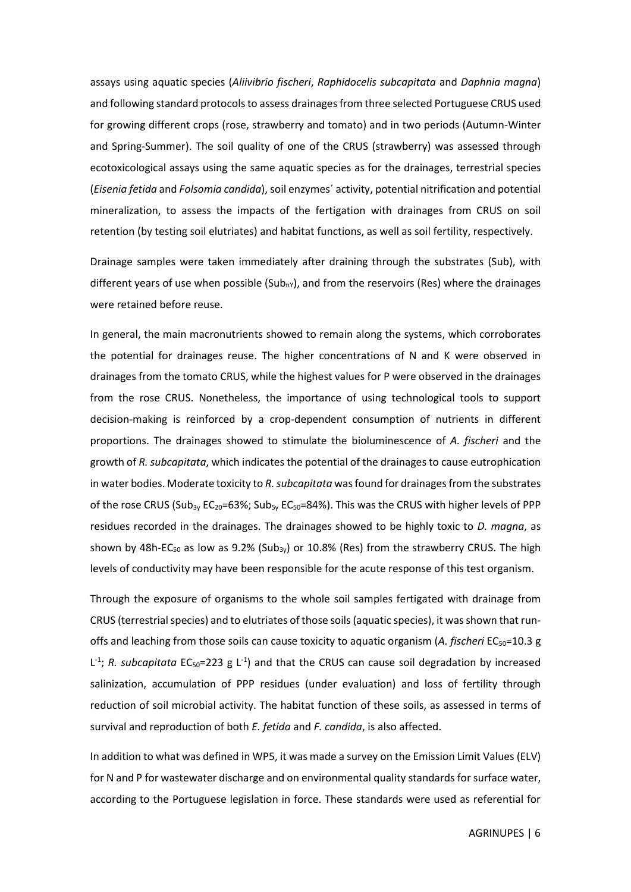assays using aquatic species (*Aliivibrio fischeri*, *Raphidocelis subcapitata* and *Daphnia magna*) and following standard protocols to assess drainages from three selected Portuguese CRUS used for growing different crops (rose, strawberry and tomato) and in two periods (Autumn-Winter and Spring-Summer). The soil quality of one of the CRUS (strawberry) was assessed through ecotoxicological assays using the same aquatic species as for the drainages, terrestrial species (*Eisenia fetida* and *Folsomia candida*), soil enzymes´ activity, potential nitrification and potential mineralization, to assess the impacts of the fertigation with drainages from CRUS on soil retention (by testing soil elutriates) and habitat functions, as well as soil fertility, respectively.

Drainage samples were taken immediately after draining through the substrates (Sub), with different years of use when possible (Sub<sub>nY</sub>), and from the reservoirs (Res) where the drainages were retained before reuse.

In general, the main macronutrients showed to remain along the systems, which corroborates the potential for drainages reuse. The higher concentrations of N and K were observed in drainages from the tomato CRUS, while the highest values for P were observed in the drainages from the rose CRUS. Nonetheless, the importance of using technological tools to support decision-making is reinforced by a crop-dependent consumption of nutrients in different proportions. The drainages showed to stimulate the bioluminescence of *A. fischeri* and the growth of *R. subcapitata*, which indicates the potential of the drainages to cause eutrophication in water bodies. Moderate toxicity to *R. subcapitata* was found for drainages from the substrates of the rose CRUS (Sub<sub>3y</sub> EC<sub>20</sub>=63%; Sub<sub>5y</sub> EC<sub>50</sub>=84%). This was the CRUS with higher levels of PPP residues recorded in the drainages. The drainages showed to be highly toxic to *D. magna*, as shown by 48h-EC<sub>50</sub> as low as 9.2% (Sub<sub>3y</sub>) or 10.8% (Res) from the strawberry CRUS. The high levels of conductivity may have been responsible for the acute response of this test organism.

Through the exposure of organisms to the whole soil samples fertigated with drainage from CRUS (terrestrial species) and to elutriates of those soils (aquatic species), it was shown that runoffs and leaching from those soils can cause toxicity to aquatic organism (*A. fischeri* EC50=10.3 g  $L^{-1}$ ; *R. subcapitata* EC<sub>50</sub>=223 g L<sup>-1</sup>) and that the CRUS can cause soil degradation by increased salinization, accumulation of PPP residues (under evaluation) and loss of fertility through reduction of soil microbial activity. The habitat function of these soils, as assessed in terms of survival and reproduction of both *E. fetida* and *F. candida*, is also affected.

In addition to what was defined in WP5, it was made a survey on the Emission Limit Values (ELV) for N and P for wastewater discharge and on environmental quality standards for surface water, according to the Portuguese legislation in force. These standards were used as referential for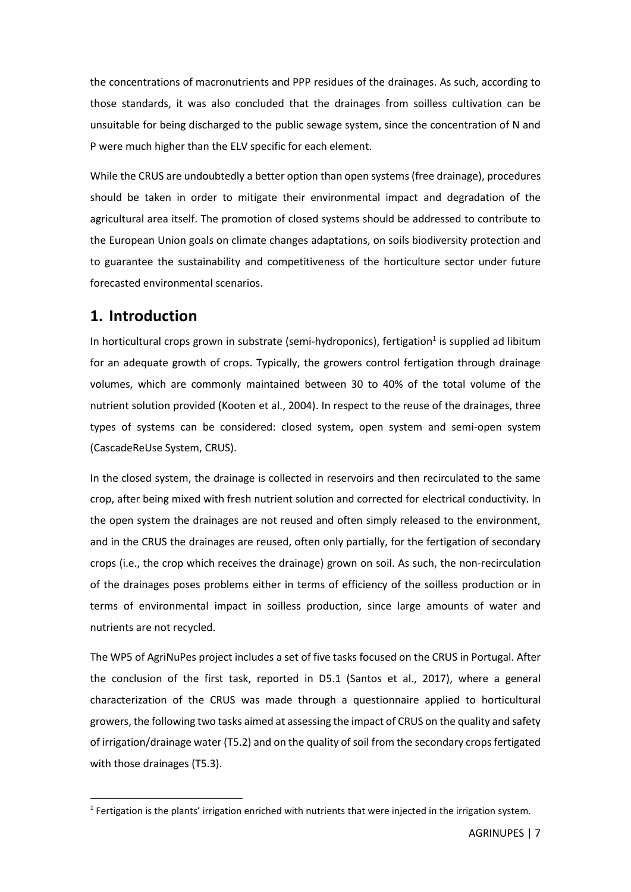the concentrations of macronutrients and PPP residues of the drainages. As such, according to those standards, it was also concluded that the drainages from soilless cultivation can be unsuitable for being discharged to the public sewage system, since the concentration of N and P were much higher than the ELV specific for each element.

While the CRUS are undoubtedly a better option than open systems (free drainage), procedures should be taken in order to mitigate their environmental impact and degradation of the agricultural area itself. The promotion of closed systems should be addressed to contribute to the European Union goals on climate changes adaptations, on soils biodiversity protection and to guarantee the sustainability and competitiveness of the horticulture sector under future forecasted environmental scenarios.

## <span id="page-6-0"></span>**1. Introduction**

In horticultural crops grown in substrate (semi-hydroponics), fertigation<sup>1</sup> is supplied ad libitum for an adequate growth of crops. Typically, the growers control fertigation through drainage volumes, which are commonly maintained between 30 to 40% of the total volume of the nutrient solution provided (Kooten et al., 2004). In respect to the reuse of the drainages, three types of systems can be considered: closed system, open system and semi-open system (CascadeReUse System, CRUS).

In the closed system, the drainage is collected in reservoirs and then recirculated to the same crop, after being mixed with fresh nutrient solution and corrected for electrical conductivity. In the open system the drainages are not reused and often simply released to the environment, and in the CRUS the drainages are reused, often only partially, for the fertigation of secondary crops (i.e., the crop which receives the drainage) grown on soil. As such, the non-recirculation of the drainages poses problems either in terms of efficiency of the soilless production or in terms of environmental impact in soilless production, since large amounts of water and nutrients are not recycled.

The WP5 of AgriNuPes project includes a set of five tasks focused on the CRUS in Portugal. After the conclusion of the first task, reported in D5.1 (Santos et al., 2017), where a general characterization of the CRUS was made through a questionnaire applied to horticultural growers, the following two tasks aimed at assessing the impact of CRUS on the quality and safety of irrigation/drainage water (T5.2) and on the quality of soil from the secondary crops fertigated with those drainages (T5.3).

<sup>&</sup>lt;sup>1</sup> Fertigation is the plants' irrigation enriched with nutrients that were injected in the irrigation system.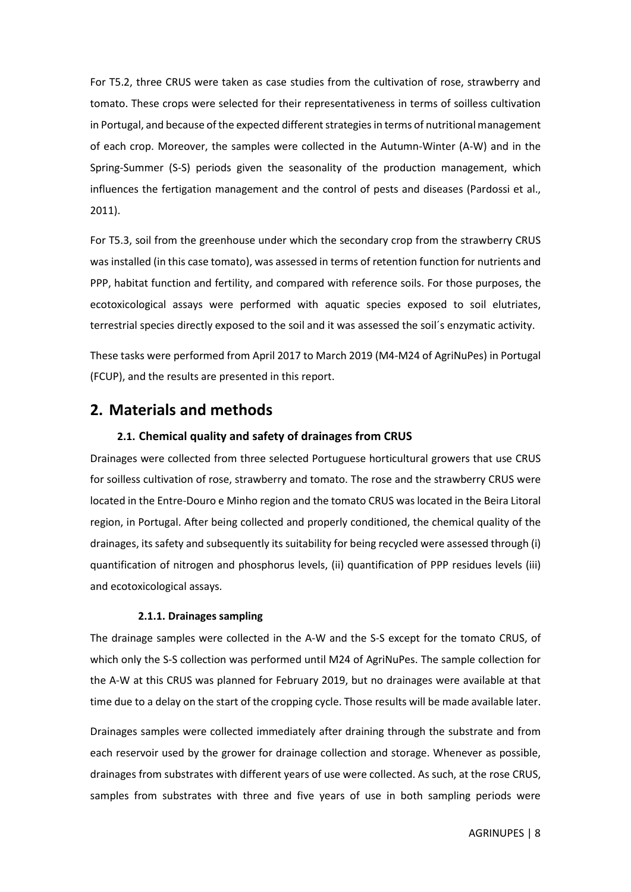For T5.2, three CRUS were taken as case studies from the cultivation of rose, strawberry and tomato. These crops were selected for their representativeness in terms of soilless cultivation in Portugal, and because of the expected different strategies in terms of nutritional management of each crop. Moreover, the samples were collected in the Autumn-Winter (A-W) and in the Spring-Summer (S-S) periods given the seasonality of the production management, which influences the fertigation management and the control of pests and diseases (Pardossi et al., 2011).

For T5.3, soil from the greenhouse under which the secondary crop from the strawberry CRUS was installed (in this case tomato), was assessed in terms of retention function for nutrients and PPP, habitat function and fertility, and compared with reference soils. For those purposes, the ecotoxicological assays were performed with aquatic species exposed to soil elutriates, terrestrial species directly exposed to the soil and it was assessed the soil´s enzymatic activity.

These tasks were performed from April 2017 to March 2019 (M4-M24 of AgriNuPes) in Portugal (FCUP), and the results are presented in this report.

#### <span id="page-7-0"></span>**2. Materials and methods**

#### <span id="page-7-1"></span>**2.1. Chemical quality and safety of drainages from CRUS**

Drainages were collected from three selected Portuguese horticultural growers that use CRUS for soilless cultivation of rose, strawberry and tomato. The rose and the strawberry CRUS were located in the Entre-Douro e Minho region and the tomato CRUS was located in the Beira Litoral region, in Portugal. After being collected and properly conditioned, the chemical quality of the drainages, its safety and subsequently its suitability for being recycled were assessed through (i) quantification of nitrogen and phosphorus levels, (ii) quantification of PPP residues levels (iii) and ecotoxicological assays.

#### <span id="page-7-2"></span>**2.1.1. Drainages sampling**

The drainage samples were collected in the A-W and the S-S except for the tomato CRUS, of which only the S-S collection was performed until M24 of AgriNuPes. The sample collection for the A-W at this CRUS was planned for February 2019, but no drainages were available at that time due to a delay on the start of the cropping cycle. Those results will be made available later.

Drainages samples were collected immediately after draining through the substrate and from each reservoir used by the grower for drainage collection and storage. Whenever as possible, drainages from substrates with different years of use were collected. As such, at the rose CRUS, samples from substrates with three and five years of use in both sampling periods were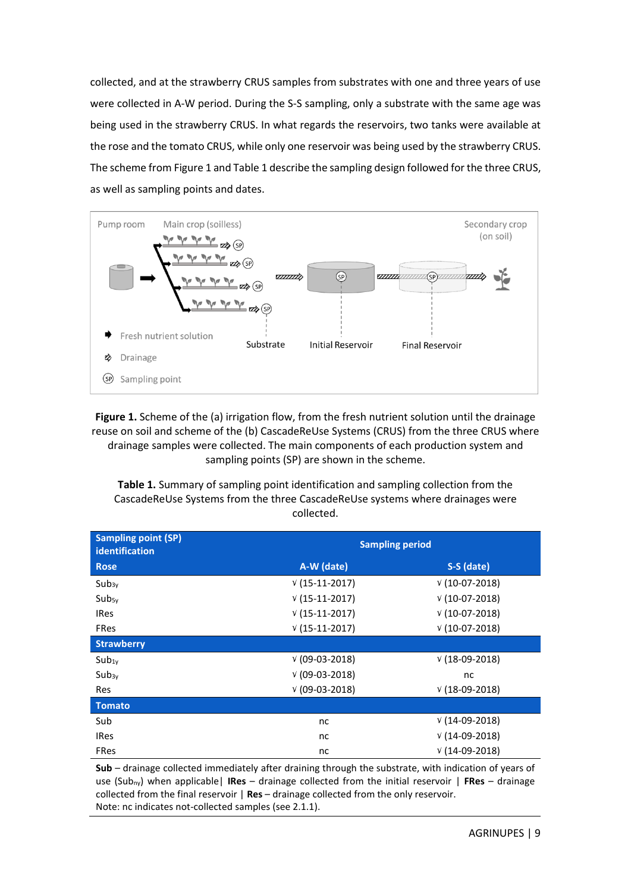collected, and at the strawberry CRUS samples from substrates with one and three years of use were collected in A-W period. During the S-S sampling, only a substrate with the same age was being used in the strawberry CRUS. In what regards the reservoirs, two tanks were available at the rose and the tomato CRUS, while only one reservoir was being used by the strawberry CRUS. The scheme fro[m Figure 1](#page-8-0) and Table 1 describe the sampling design followed for the three CRUS, as well as sampling points and dates.



<span id="page-8-0"></span>Figure 1. Scheme of the (a) irrigation flow, from the fresh nutrient solution until the drainage reuse on soil and scheme of the (b) CascadeReUse Systems (CRUS) from the three CRUS where drainage samples were collected. The main components of each production system and sampling points (SP) are shown in the scheme.

<span id="page-8-1"></span>**Table 1.** Summary of sampling point identification and sampling collection from the CascadeReUse Systems from the three CascadeReUse systems where drainages were collected.

| <b>Sampling point (SP)</b><br><b>identification</b> | <b>Sampling period</b> |                 |  |  |  |
|-----------------------------------------------------|------------------------|-----------------|--|--|--|
| <b>Rose</b>                                         | A-W (date)             | S-S (date)      |  |  |  |
| $Sub_{3v}$                                          | $V(15-11-2017)$        | $V(10-07-2018)$ |  |  |  |
| $Sub_{5v}$                                          | $V(15-11-2017)$        | $V(10-07-2018)$ |  |  |  |
| <b>IRes</b>                                         | $V(15-11-2017)$        | $V(10-07-2018)$ |  |  |  |
| <b>FRes</b>                                         | $V(15-11-2017)$        | $V(10-07-2018)$ |  |  |  |
| <b>Strawberry</b>                                   |                        |                 |  |  |  |
| $Sub_{1y}$                                          | $V(09-03-2018)$        | $V(18-09-2018)$ |  |  |  |
| $Sub_{3v}$                                          | $V(09-03-2018)$        | nc              |  |  |  |
| <b>Res</b>                                          | $V(09-03-2018)$        | $V(18-09-2018)$ |  |  |  |
| <b>Tomato</b>                                       |                        |                 |  |  |  |
| Sub                                                 | nc                     | $V(14-09-2018)$ |  |  |  |
| <b>IRes</b>                                         | nc                     | $V(14-09-2018)$ |  |  |  |
| <b>FRes</b>                                         | nc                     | $V(14-09-2018)$ |  |  |  |

**Sub** – drainage collected immediately after draining through the substrate, with indication of years of use (Subny) when applicable| **IRes** – drainage collected from the initial reservoir | **FRes** – drainage collected from the final reservoir | **Res** – drainage collected from the only reservoir. Note: nc indicates not-collected samples (se[e 2.1.1\)](#page-7-2).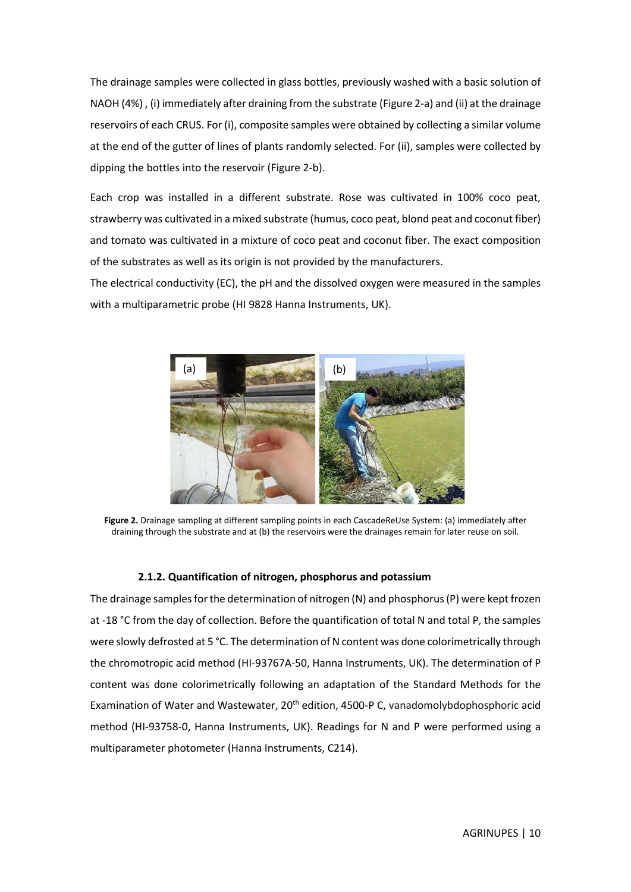The drainage samples were collected in glass bottles, previously washed with a basic solution of NAOH (4%) , (i) immediately after draining from the substrate [\(Figure 2-](#page-9-1)a) and (ii) at the drainage reservoirs of each CRUS. For (i), composite samples were obtained by collecting a similar volume at the end of the gutter of lines of plants randomly selected. For (ii), samples were collected by dipping the bottles into the reservoir [\(Figure 2-](#page-9-1)b).

Each crop was installed in a different substrate. Rose was cultivated in 100% coco peat, strawberry was cultivated in a mixed substrate (humus, coco peat, blond peat and coconut fiber) and tomato was cultivated in a mixture of coco peat and coconut fiber. The exact composition of the substrates as well as its origin is not provided by the manufacturers.

The electrical conductivity (EC), the pH and the dissolved oxygen were measured in the samples with a multiparametric probe (HI 9828 Hanna Instruments, UK).



**Figure 2.** Drainage sampling at different sampling points in each CascadeReUse System: (a) immediately after draining through the substrate and at (b) the reservoirs were the drainages remain for later reuse on soil.

#### <span id="page-9-1"></span><span id="page-9-0"></span>**2.1.2. Quantification of nitrogen, phosphorus and potassium**

The drainage samples for the determination of nitrogen (N) and phosphorus (P) were kept frozen at -18 °C from the day of collection. Before the quantification of total N and total P, the samples were slowly defrosted at 5 °C. The determination of N content was done colorimetrically through the chromotropic acid method (HI-93767A-50, Hanna Instruments, UK). The determination of P content was done colorimetrically following an adaptation of the Standard Methods for the Examination of Water and Wastewater, 20<sup>th</sup> edition, 4500-P C, vanadomolybdophosphoric acid method (HI-93758-0, Hanna Instruments, UK). Readings for N and P were performed using a multiparameter photometer (Hanna Instruments, C214).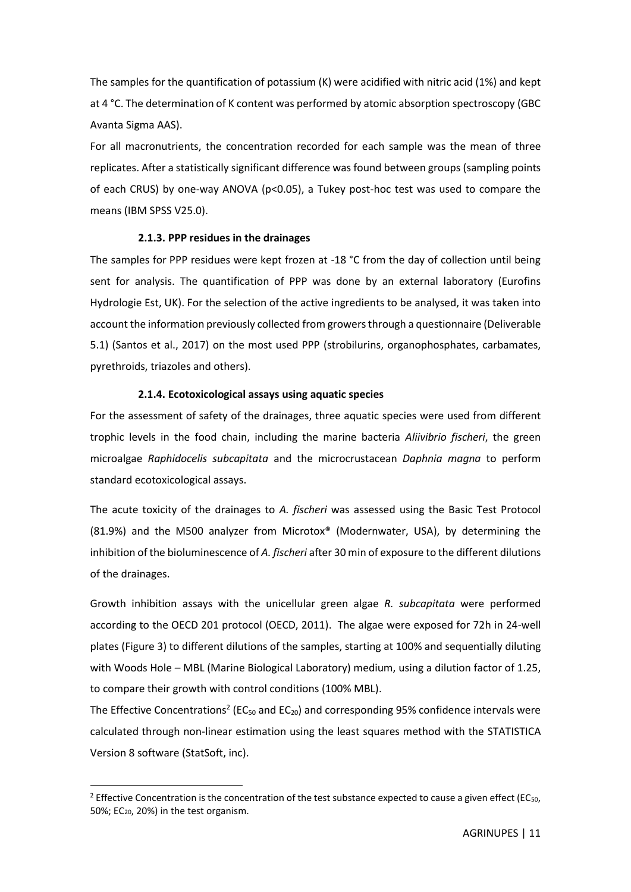The samples for the quantification of potassium (K) were acidified with nitric acid (1%) and kept at 4 °C. The determination of K content was performed by atomic absorption spectroscopy (GBC Avanta Sigma AAS).

For all macronutrients, the concentration recorded for each sample was the mean of three replicates. After a statistically significant difference was found between groups (sampling points of each CRUS) by one-way ANOVA (p<0.05), a Tukey post-hoc test was used to compare the means (IBM SPSS V25.0).

#### <span id="page-10-0"></span>**2.1.3. PPP residues in the drainages**

The samples for PPP residues were kept frozen at -18 °C from the day of collection until being sent for analysis. The quantification of PPP was done by an external laboratory (Eurofins Hydrologie Est, UK). For the selection of the active ingredients to be analysed, it was taken into account the information previously collected from growers through a questionnaire (Deliverable 5.1) (Santos et al., 2017) on the most used PPP (strobilurins, organophosphates, carbamates, pyrethroids, triazoles and others).

#### **2.1.4. Ecotoxicological assays using aquatic species**

<span id="page-10-1"></span>For the assessment of safety of the drainages, three aquatic species were used from different trophic levels in the food chain, including the marine bacteria *Aliivibrio fischeri*, the green microalgae *Raphidocelis subcapitata* and the microcrustacean *Daphnia magna* to perform standard ecotoxicological assays.

The acute toxicity of the drainages to *A. fischeri* was assessed using the Basic Test Protocol (81.9%) and the M500 analyzer from Microtox® (Modernwater, USA), by determining the inhibition of the bioluminescence of *A. fischeri* after 30 min of exposure to the different dilutions of the drainages.

Growth inhibition assays with the unicellular green algae *R. subcapitata* were performed according to the OECD 201 protocol (OECD, 2011). The algae were exposed for 72h in 24-well plates [\(Figure 3\)](#page-11-2) to different dilutions of the samples, starting at 100% and sequentially diluting with Woods Hole – MBL (Marine Biological Laboratory) medium, using a dilution factor of 1.25, to compare their growth with control conditions (100% MBL).

The Effective Concentrations<sup>2</sup> (EC<sub>50</sub> and EC<sub>20</sub>) and corresponding 95% confidence intervals were calculated through non-linear estimation using the least squares method with the STATISTICA Version 8 software (StatSoft, inc).

<sup>&</sup>lt;sup>2</sup> Effective Concentration is the concentration of the test substance expected to cause a given effect (EC<sub>50</sub>, 50%; EC20, 20%) in the test organism.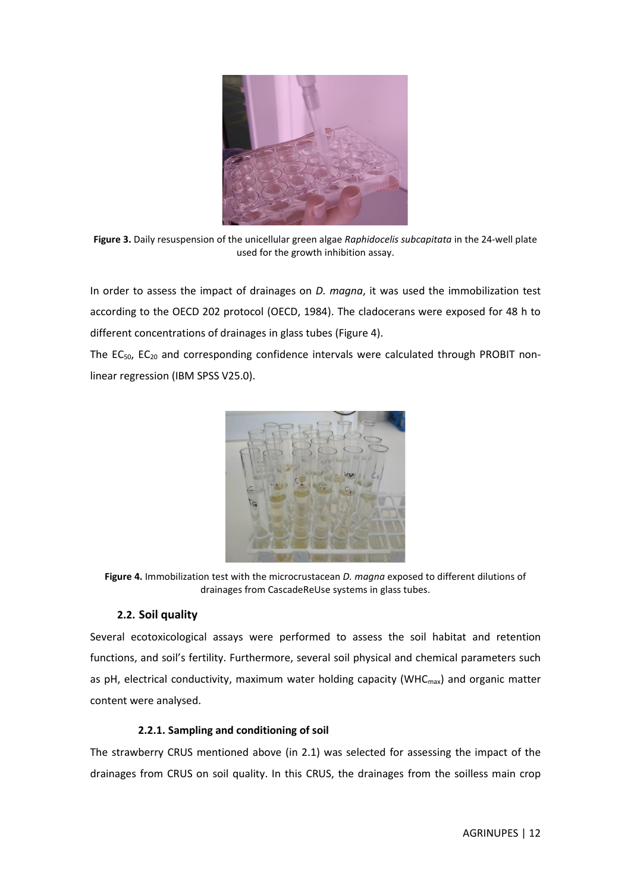

**Figure 3.** Daily resuspension of the unicellular green algae *Raphidocelis subcapitata* in the 24-well plate used for the growth inhibition assay.

<span id="page-11-2"></span>In order to assess the impact of drainages on *D. magna*, it was used the immobilization test according to the OECD 202 protocol (OECD, 1984). The cladocerans were exposed for 48 h to different concentrations of drainages in glass tubes [\(Figure 4\)](#page-11-3).

The EC<sub>50</sub>, EC<sub>20</sub> and corresponding confidence intervals were calculated through PROBIT nonlinear regression (IBM SPSS V25.0).



**Figure 4.** Immobilization test with the microcrustacean *D. magna* exposed to different dilutions of drainages from CascadeReUse systems in glass tubes.

#### <span id="page-11-3"></span><span id="page-11-0"></span>**2.2. Soil quality**

Several ecotoxicological assays were performed to assess the soil habitat and retention functions, and soil's fertility. Furthermore, several soil physical and chemical parameters such as pH, electrical conductivity, maximum water holding capacity (WHC $_{\text{max}}$ ) and organic matter content were analysed.

#### <span id="page-11-1"></span>**2.2.1. Sampling and conditioning of soil**

The strawberry CRUS mentioned above (in 2.1) was selected for assessing the impact of the drainages from CRUS on soil quality. In this CRUS, the drainages from the soilless main crop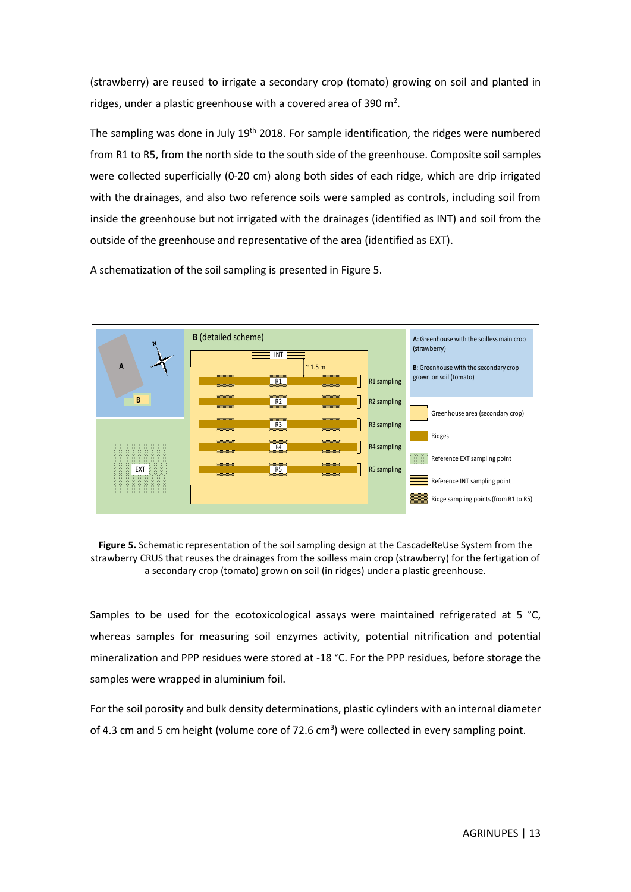(strawberry) are reused to irrigate a secondary crop (tomato) growing on soil and planted in ridges, under a plastic greenhouse with a covered area of 390  $m^2$ .

The sampling was done in July  $19<sup>th</sup>$  2018. For sample identification, the ridges were numbered from R1 to R5, from the north side to the south side of the greenhouse. Composite soil samples were collected superficially (0-20 cm) along both sides of each ridge, which are drip irrigated with the drainages, and also two reference soils were sampled as controls, including soil from inside the greenhouse but not irrigated with the drainages (identified as INT) and soil from the outside of the greenhouse and representative of the area (identified as EXT).

A schematization of the soil sampling is presented in [Figure 5.](#page-12-0)



<span id="page-12-0"></span>**Figure 5.** Schematic representation of the soil sampling design at the CascadeReUse System from the strawberry CRUS that reuses the drainages from the soilless main crop (strawberry) for the fertigation of a secondary crop (tomato) grown on soil (in ridges) under a plastic greenhouse.

Samples to be used for the ecotoxicological assays were maintained refrigerated at 5  $^{\circ}$ C, whereas samples for measuring soil enzymes activity, potential nitrification and potential mineralization and PPP residues were stored at -18 °C. For the PPP residues, before storage the samples were wrapped in aluminium foil.

For the soil porosity and bulk density determinations, plastic cylinders with an internal diameter of 4.3 cm and 5 cm height (volume core of 72.6  $cm<sup>3</sup>$ ) were collected in every sampling point.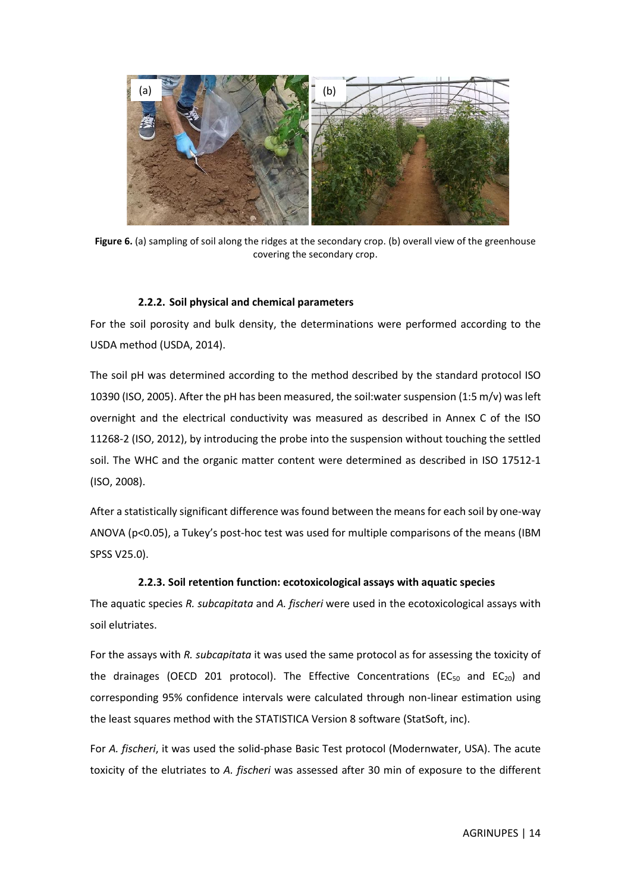

Figure 6. (a) sampling of soil along the ridges at the secondary crop. (b) overall view of the greenhouse covering the secondary crop.

#### <span id="page-13-2"></span><span id="page-13-0"></span>**2.2.2. Soil physical and chemical parameters**

For the soil porosity and bulk density, the determinations were performed according to the USDA method (USDA, 2014).

The soil pH was determined according to the method described by the standard protocol ISO 10390 (ISO, 2005). After the pH has been measured, the soil:water suspension (1:5 m/v) was left overnight and the electrical conductivity was measured as described in Annex C of the ISO 11268-2 (ISO, 2012), by introducing the probe into the suspension without touching the settled soil. The WHC and the organic matter content were determined as described in ISO 17512-1 (ISO, 2008).

After a statistically significant difference was found between the means for each soil by one-way ANOVA (p<0.05), a Tukey's post-hoc test was used for multiple comparisons of the means (IBM SPSS V25.0).

#### <span id="page-13-1"></span>**2.2.3. Soil retention function: ecotoxicological assays with aquatic species**

The aquatic species *R. subcapitata* and *A. fischeri* were used in the ecotoxicological assays with soil elutriates.

For the assays with *R. subcapitata* it was used the same protocol as for assessing the toxicity of the drainages (OECD 201 protocol). The Effective Concentrations (EC<sub>50</sub> and EC<sub>20</sub>) and corresponding 95% confidence intervals were calculated through non-linear estimation using the least squares method with the STATISTICA Version 8 software (StatSoft, inc).

For *A. fischeri*, it was used the solid-phase Basic Test protocol (Modernwater, USA). The acute toxicity of the elutriates to *A. fischeri* was assessed after 30 min of exposure to the different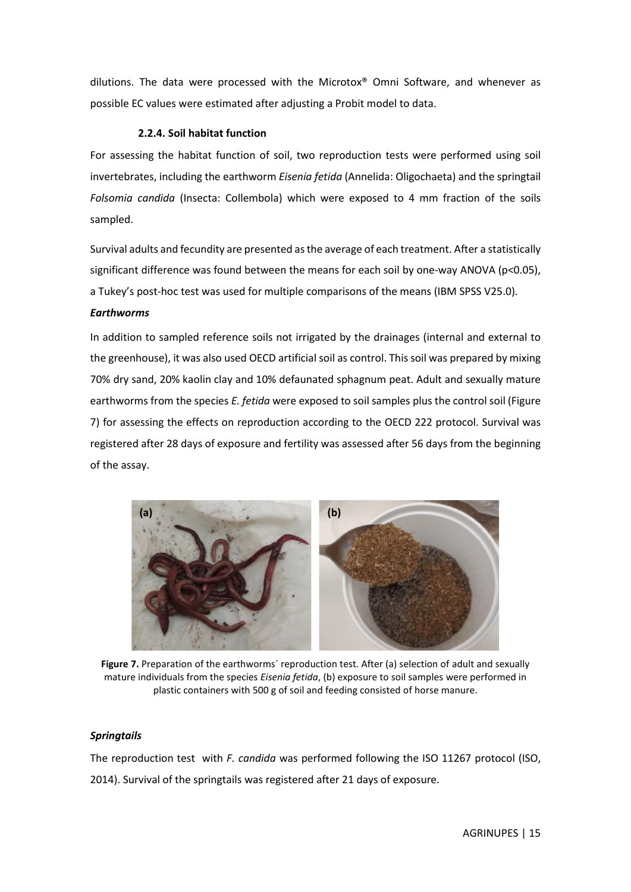dilutions. The data were processed with the Microtox® Omni Software, and whenever as possible EC values were estimated after adjusting a Probit model to data.

#### <span id="page-14-0"></span>**2.2.4. Soil habitat function**

For assessing the habitat function of soil, two reproduction tests were performed using soil invertebrates, including the earthworm *Eisenia fetida* (Annelida: Oligochaeta) and the springtail *Folsomia candida* (Insecta: Collembola) which were exposed to 4 mm fraction of the soils sampled.

Survival adults and fecundity are presented as the average of each treatment. After a statistically significant difference was found between the means for each soil by one-way ANOVA (p<0.05), a Tukey's post-hoc test was used for multiple comparisons of the means (IBM SPSS V25.0).

#### *Earthworms*

In addition to sampled reference soils not irrigated by the drainages (internal and external to the greenhouse), it was also used OECD artificial soil as control. This soil was prepared by mixing 70% dry sand, 20% kaolin clay and 10% defaunated sphagnum peat. Adult and sexually mature earthworms from the species *E. fetida* were exposed to soil samples plus the control soil [\(Figure](#page-14-1)  [7\)](#page-14-1) for assessing the effects on reproduction according to the OECD 222 protocol. Survival was registered after 28 days of exposure and fertility was assessed after 56 days from the beginning of the assay.



**Figure 7.** Preparation of the earthworms´ reproduction test. After (a) selection of adult and sexually mature individuals from the species *Eisenia fetida*, (b) exposure to soil samples were performed in plastic containers with 500 g of soil and feeding consisted of horse manure.

#### <span id="page-14-1"></span>*Springtails*

The reproduction test with *F. candida* was performed following the ISO 11267 protocol (ISO, 2014). Survival of the springtails was registered after 21 days of exposure.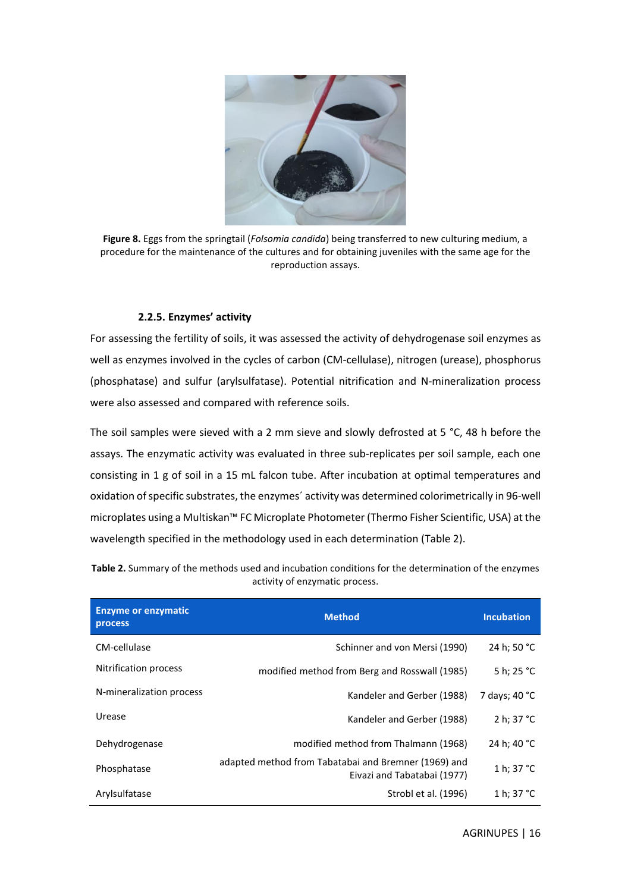

**Figure 8.** Eggs from the springtail (*Folsomia candida*) being transferred to new culturing medium, a procedure for the maintenance of the cultures and for obtaining juveniles with the same age for the reproduction assays.

#### <span id="page-15-1"></span><span id="page-15-0"></span>**2.2.5. Enzymes' activity**

For assessing the fertility of soils, it was assessed the activity of dehydrogenase soil enzymes as well as enzymes involved in the cycles of carbon (CM-cellulase), nitrogen (urease), phosphorus (phosphatase) and sulfur (arylsulfatase). Potential nitrification and N-mineralization process were also assessed and compared with reference soils.

The soil samples were sieved with a 2 mm sieve and slowly defrosted at 5 °C, 48 h before the assays. The enzymatic activity was evaluated in three sub-replicates per soil sample, each one consisting in 1 g of soil in a 15 mL falcon tube. After incubation at optimal temperatures and oxidation of specific substrates, the enzymes´ activity was determined colorimetrically in 96-well microplates using a Multiskan™ FC Microplate Photometer (Thermo Fisher Scientific, USA) at the wavelength specified in the methodology used in each determination [\(Table 2\)](#page-15-2).

| <b>Enzyme or enzymatic</b><br><b>process</b> | <b>Method</b>                                                                       | <b>Incubation</b>    |
|----------------------------------------------|-------------------------------------------------------------------------------------|----------------------|
| CM-cellulase                                 | Schinner and von Mersi (1990)                                                       | 24 h: 50 °C          |
| Nitrification process                        | modified method from Berg and Rosswall (1985)                                       | 5 h; 25 °C           |
| N-mineralization process                     | Kandeler and Gerber (1988)                                                          | 7 days; 40 °C        |
| Urease                                       | Kandeler and Gerber (1988)                                                          | 2 h: $37 °C$         |
| Dehydrogenase                                | modified method from Thalmann (1968)                                                | 24 h; 40 °C          |
| Phosphatase                                  | adapted method from Tabatabai and Bremner (1969) and<br>Eivazi and Tabatabai (1977) | 1 h; $37 °C$         |
| Arylsulfatase                                | Strobl et al. (1996)                                                                | 1 h; 37 $^{\circ}$ C |

<span id="page-15-2"></span>**Table 2.** Summary of the methods used and incubation conditions for the determination of the enzymes activity of enzymatic process.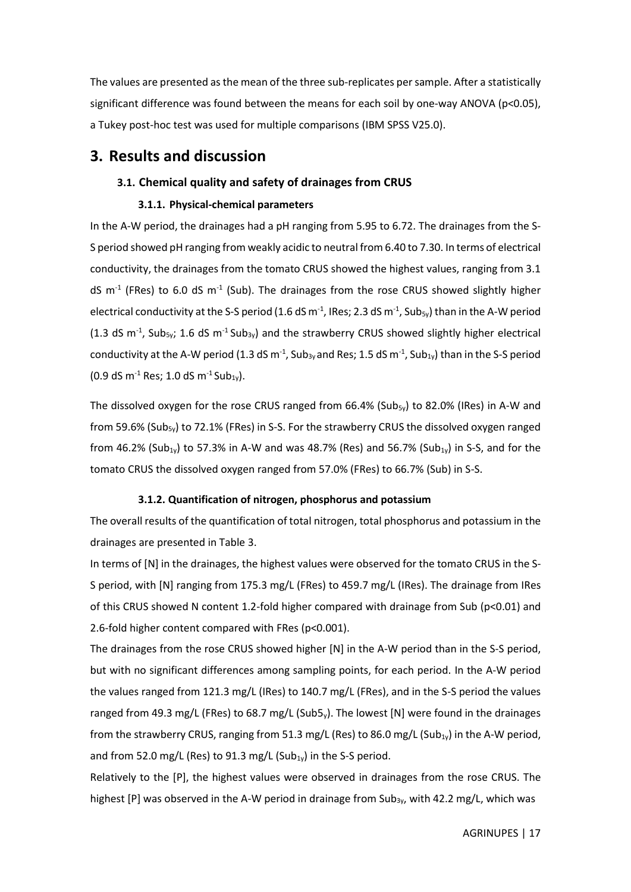The values are presented as the mean of the three sub-replicates per sample. After a statistically significant difference was found between the means for each soil by one-way ANOVA (p<0.05), a Tukey post-hoc test was used for multiple comparisons (IBM SPSS V25.0).

### <span id="page-16-0"></span>**3. Results and discussion**

#### <span id="page-16-1"></span>**3.1. Chemical quality and safety of drainages from CRUS**

#### <span id="page-16-2"></span>**3.1.1. Physical-chemical parameters**

In the A-W period, the drainages had a pH ranging from 5.95 to 6.72. The drainages from the S-S period showed pH ranging from weakly acidic to neutral from 6.40 to 7.30. In terms of electrical conductivity, the drainages from the tomato CRUS showed the highest values, ranging from 3.1 dS  $m<sup>-1</sup>$  (FRes) to 6.0 dS  $m<sup>-1</sup>$  (Sub). The drainages from the rose CRUS showed slightly higher electrical conductivity at the S-S period (1.6 dS m<sup>-1</sup>, IRes; 2.3 dS m<sup>-1</sup>, Sub<sub>5y</sub>) than in the A-W period (1.3 dS m<sup>-1</sup>, Sub<sub>5y</sub>; 1.6 dS m<sup>-1</sup> Sub<sub>3y</sub>) and the strawberry CRUS showed slightly higher electrical conductivity at the A-W period (1.3 dS m<sup>-1</sup>, Sub<sub>3y</sub> and Res; 1.5 dS m<sup>-1</sup>, Sub<sub>1y</sub>) than in the S-S period  $(0.9 dS m<sup>-1</sup> Res; 1.0 dS m<sup>-1</sup> Sub<sub>1y</sub>).$ 

The dissolved oxygen for the rose CRUS ranged from 66.4% (Sub<sub>5y</sub>) to 82.0% (IRes) in A-W and from 59.6% (Sub<sub>5y</sub>) to 72.1% (FRes) in S-S. For the strawberry CRUS the dissolved oxygen ranged from 46.2% (Sub<sub>1y</sub>) to 57.3% in A-W and was 48.7% (Res) and 56.7% (Sub<sub>1y</sub>) in S-S, and for the tomato CRUS the dissolved oxygen ranged from 57.0% (FRes) to 66.7% (Sub) in S-S.

#### <span id="page-16-3"></span>**3.1.2. Quantification of nitrogen, phosphorus and potassium**

The overall results of the quantification of total nitrogen, total phosphorus and potassium in the drainages are presented in [Table 3.](#page-18-1)

In terms of [N] in the drainages, the highest values were observed for the tomato CRUS in the S-S period, with [N] ranging from 175.3 mg/L (FRes) to 459.7 mg/L (IRes). The drainage from IRes of this CRUS showed N content 1.2-fold higher compared with drainage from Sub (p<0.01) and 2.6-fold higher content compared with FRes (p<0.001).

The drainages from the rose CRUS showed higher [N] in the A-W period than in the S-S period, but with no significant differences among sampling points, for each period. In the A-W period the values ranged from 121.3 mg/L (IRes) to 140.7 mg/L (FRes), and in the S-S period the values ranged from 49.3 mg/L (FRes) to 68.7 mg/L (Sub5<sub>y</sub>). The lowest [N] were found in the drainages from the strawberry CRUS, ranging from 51.3 mg/L (Res) to 86.0 mg/L (Sub $_{1y}$ ) in the A-W period, and from 52.0 mg/L (Res) to 91.3 mg/L (Sub $_{1y}$ ) in the S-S period.

Relatively to the [P], the highest values were observed in drainages from the rose CRUS. The highest  $[P]$  was observed in the A-W period in drainage from Sub<sub>3v</sub>, with 42.2 mg/L, which was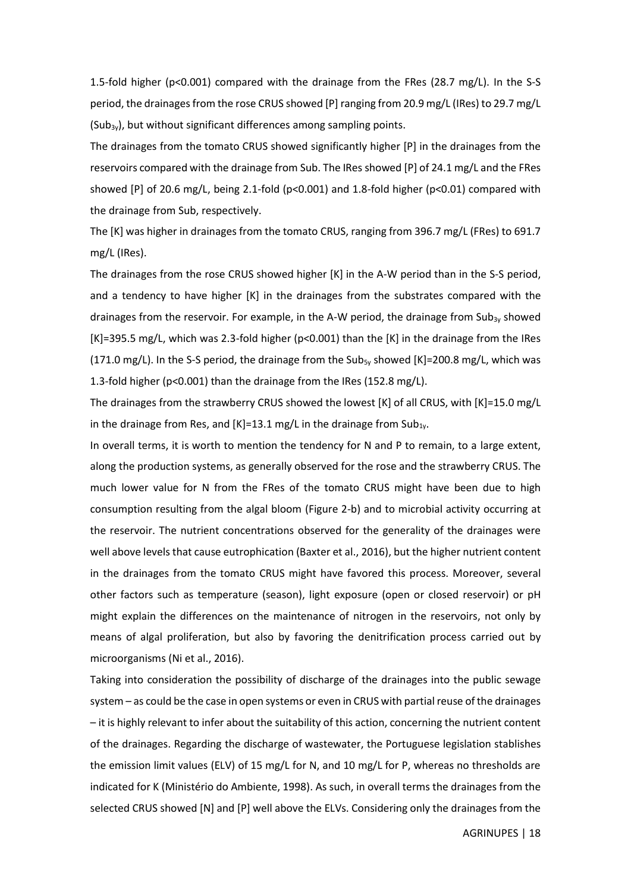1.5-fold higher ( $p<0.001$ ) compared with the drainage from the FRes (28.7 mg/L). In the S-S period, the drainages from the rose CRUS showed [P] ranging from 20.9 mg/L (IRes) to 29.7 mg/L  $(Sub<sub>3y</sub>)$ , but without significant differences among sampling points.

The drainages from the tomato CRUS showed significantly higher [P] in the drainages from the reservoirs compared with the drainage from Sub. The IRes showed [P] of 24.1 mg/L and the FRes showed [P] of 20.6 mg/L, being 2.1-fold (p<0.001) and 1.8-fold higher (p<0.01) compared with the drainage from Sub, respectively.

The [K] was higher in drainages from the tomato CRUS, ranging from 396.7 mg/L (FRes) to 691.7 mg/L (IRes).

The drainages from the rose CRUS showed higher [K] in the A-W period than in the S-S period, and a tendency to have higher [K] in the drainages from the substrates compared with the drainages from the reservoir. For example, in the A-W period, the drainage from  $Sub_{3v}$  showed [K]=395.5 mg/L, which was 2.3-fold higher (p<0.001) than the [K] in the drainage from the IRes (171.0 mg/L). In the S-S period, the drainage from the Sub<sub>5y</sub> showed [K]=200.8 mg/L, which was 1.3-fold higher (p<0.001) than the drainage from the IRes (152.8 mg/L).

The drainages from the strawberry CRUS showed the lowest [K] of all CRUS, with [K]=15.0 mg/L in the drainage from Res, and  $[K]=13.1$  mg/L in the drainage from Sub<sub>1y</sub>.

In overall terms, it is worth to mention the tendency for N and P to remain, to a large extent, along the production systems, as generally observed for the rose and the strawberry CRUS. The much lower value for N from the FRes of the tomato CRUS might have been due to high consumption resulting from the algal bloom [\(Figure 2-](#page-9-1)b) and to microbial activity occurring at the reservoir. The nutrient concentrations observed for the generality of the drainages were well above levels that cause eutrophication (Baxter et al., 2016), but the higher nutrient content in the drainages from the tomato CRUS might have favored this process. Moreover, several other factors such as temperature (season), light exposure (open or closed reservoir) or pH might explain the differences on the maintenance of nitrogen in the reservoirs, not only by means of algal proliferation, but also by favoring the denitrification process carried out by microorganisms (Ni et al., 2016).

Taking into consideration the possibility of discharge of the drainages into the public sewage system – as could be the case in open systems or even in CRUS with partial reuse of the drainages – it is highly relevant to infer about the suitability of this action, concerning the nutrient content of the drainages. Regarding the discharge of wastewater, the Portuguese legislation stablishes the emission limit values (ELV) of 15 mg/L for N, and 10 mg/L for P, whereas no thresholds are indicated for K (Ministério do Ambiente, 1998). As such, in overall terms the drainages from the selected CRUS showed [N] and [P] well above the ELVs. Considering only the drainages from the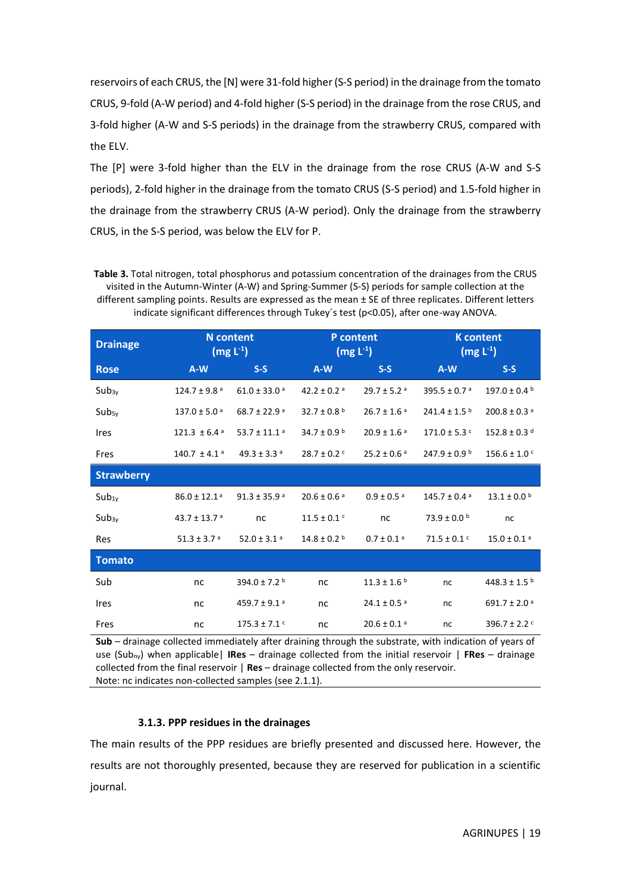reservoirs of each CRUS, the [N] were 31-fold higher (S-S period) in the drainage from the tomato CRUS, 9-fold (A-W period) and 4-fold higher (S-S period) in the drainage from the rose CRUS, and 3-fold higher (A-W and S-S periods) in the drainage from the strawberry CRUS, compared with the ELV.

The [P] were 3-fold higher than the ELV in the drainage from the rose CRUS (A-W and S-S periods), 2-fold higher in the drainage from the tomato CRUS (S-S period) and 1.5-fold higher in the drainage from the strawberry CRUS (A-W period). Only the drainage from the strawberry CRUS, in the S-S period, was below the ELV for P.

<span id="page-18-1"></span>**Table 3.** Total nitrogen, total phosphorus and potassium concentration of the drainages from the CRUS visited in the Autumn-Winter (A-W) and Spring-Summer (S-S) periods for sample collection at the different sampling points. Results are expressed as the mean ± SE of three replicates. Different letters indicate significant differences through Tukey´s test (p<0.05), after one-way ANOVA.

| <b>Drainage</b>   | <b>N</b> content<br>$(mg L-1)$ |                              |                                                            | P content<br>$(mg L^{-1})$  | <b>K</b> content<br>$(mg L^{-1})$ |                              |  |
|-------------------|--------------------------------|------------------------------|------------------------------------------------------------|-----------------------------|-----------------------------------|------------------------------|--|
| <b>Rose</b>       | $A-W$                          | $S-S$                        | $S-S$<br>$A-W$                                             |                             | $A-W$                             | $S-S$                        |  |
| Sub <sub>3y</sub> | $124.7 \pm 9.8$ <sup>a</sup>   | $61.0 \pm 33.0$ <sup>a</sup> | 42.2 ± 0.2 $a$                                             | $29.7 \pm 5.2$ <sup>a</sup> | 395.5 ± 0.7 $a$                   | $197.0 \pm 0.4$              |  |
| Sub <sub>5y</sub> | $137.0 \pm 5.0$ <sup>a</sup>   | 68.7 ± 22.9 a                | 32.7 ± 0.8 $b$                                             | $26.7 \pm 1.6$ <sup>a</sup> |                                   | $200.8 \pm 0.3$ <sup>a</sup> |  |
| <b>Ires</b>       | $121.3 \pm 6.4$ <sup>a</sup>   | 53.7 ± 11.1 $a$              | 34.7 ± 0.9 $^{\rm b}$<br>$20.9 \pm 1.6$ <sup>a</sup>       |                             | $171.0 \pm 5.3$ $\degree$         | $152.8 \pm 0.3$ d            |  |
| Fres              | 140.7 $\pm$ 4.1 <sup>a</sup>   | 49.3 ± 3.3 $a$               | $28.7 \pm 0.2$ <sup>c</sup><br>$25.2 \pm 0.6$ <sup>a</sup> |                             | $247.9 \pm 0.9^{\mathrm{b}}$      | $156.6 \pm 1.0$ <sup>c</sup> |  |
| <b>Strawberry</b> |                                |                              |                                                            |                             |                                   |                              |  |
| $Sub_{1y}$        | $86.0 \pm 12.1$ <sup>a</sup>   | $91.3 \pm 35.9$ <sup>a</sup> | $20.6 \pm 0.6$ <sup>a</sup><br>$0.9 \pm 0.5$ <sup>a</sup>  |                             | $145.7 \pm 0.4$ <sup>a</sup>      | $13.1 \pm 0.0$ b             |  |
| Sub <sub>3y</sub> | 43.7 ± 13.7 $a$                | nc                           | $11.5 \pm 0.1$ <sup>c</sup><br>nc                          |                             | $73.9 \pm 0.0^{\mathrm{b}}$       | nc                           |  |
| Res               | $51.3 \pm 3.7$ <sup>a</sup>    | 52.0 ± 3.1 $a$               | $14.8 \pm 0.2$ <sup>b</sup><br>$0.7 \pm 0.1$ <sup>a</sup>  |                             | $71.5 \pm 0.1$ <sup>c</sup>       | $15.0 \pm 0.1$ <sup>a</sup>  |  |
| <b>Tomato</b>     |                                |                              |                                                            |                             |                                   |                              |  |
| Sub               | nc                             | 394.0 ± 7.2 $b$              | nc                                                         | $11.3 \pm 1.6$ b            | nc                                | 448.3 ± 1.5 $b$              |  |
| Ires              | nc                             | 459.7 ± 9.1 $a$              | nc                                                         | $24.1 \pm 0.5$ <sup>a</sup> | nc                                | $691.7 \pm 2.0$ <sup>a</sup> |  |
| Fres              | nc                             | $175.3 \pm 7.1$ <sup>c</sup> | nc                                                         | $20.6 \pm 0.1$ <sup>a</sup> | nc                                | 396.7 ± 2.2 $C$              |  |

**Sub** – drainage collected immediately after draining through the substrate, with indication of years of use (Subny) when applicable| **IRes** – drainage collected from the initial reservoir | **FRes** – drainage collected from the final reservoir | **Res** – drainage collected from the only reservoir. Note: nc indicates non-collected samples (se[e 2.1.1\)](#page-7-2).

#### <span id="page-18-0"></span>**3.1.3. PPP residues in the drainages**

The main results of the PPP residues are briefly presented and discussed here. However, the results are not thoroughly presented, because they are reserved for publication in a scientific journal.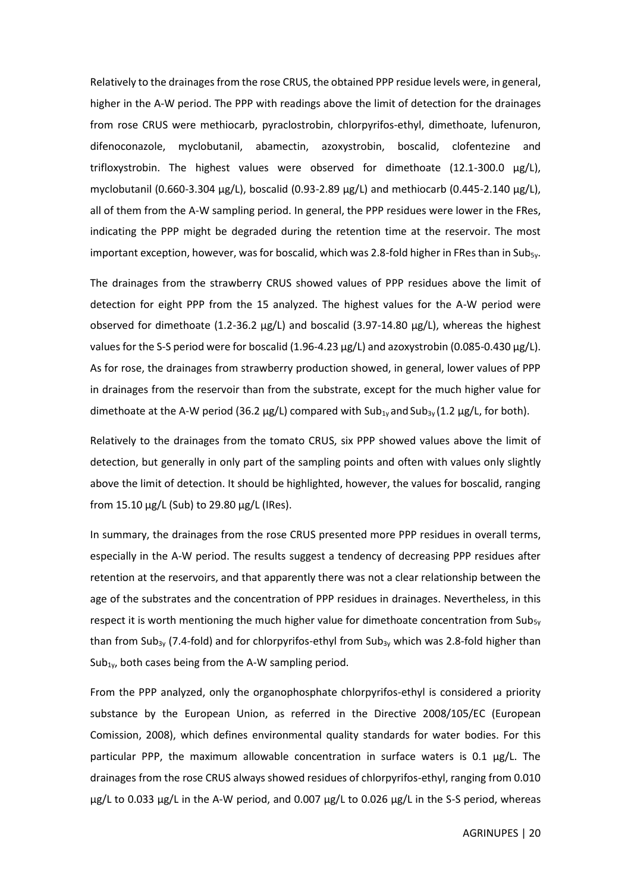Relatively to the drainages from the rose CRUS, the obtained PPP residue levels were, in general, higher in the A-W period. The PPP with readings above the limit of detection for the drainages from rose CRUS were methiocarb, pyraclostrobin, chlorpyrifos-ethyl, dimethoate, lufenuron, difenoconazole, myclobutanil, abamectin, azoxystrobin, boscalid, clofentezine and trifloxystrobin. The highest values were observed for dimethoate (12.1-300.0 µg/L), myclobutanil (0.660-3.304  $\mu$ g/L), boscalid (0.93-2.89  $\mu$ g/L) and methiocarb (0.445-2.140  $\mu$ g/L), all of them from the A-W sampling period. In general, the PPP residues were lower in the FRes, indicating the PPP might be degraded during the retention time at the reservoir. The most important exception, however, was for boscalid, which was 2.8-fold higher in FRes than in Sub<sub>5y</sub>.

The drainages from the strawberry CRUS showed values of PPP residues above the limit of detection for eight PPP from the 15 analyzed. The highest values for the A-W period were observed for dimethoate (1.2-36.2 µg/L) and boscalid (3.97-14.80 µg/L), whereas the highest values for the S-S period were for boscalid (1.96-4.23 µg/L) and azoxystrobin (0.085-0.430 µg/L). As for rose, the drainages from strawberry production showed, in general, lower values of PPP in drainages from the reservoir than from the substrate, except for the much higher value for dimethoate at the A-W period (36.2  $\mu$ g/L) compared with Sub<sub>1y</sub> and Sub<sub>3y</sub> (1.2  $\mu$ g/L, for both).

Relatively to the drainages from the tomato CRUS, six PPP showed values above the limit of detection, but generally in only part of the sampling points and often with values only slightly above the limit of detection. It should be highlighted, however, the values for boscalid, ranging from 15.10 µg/L (Sub) to 29.80 µg/L (IRes).

In summary, the drainages from the rose CRUS presented more PPP residues in overall terms, especially in the A-W period. The results suggest a tendency of decreasing PPP residues after retention at the reservoirs, and that apparently there was not a clear relationship between the age of the substrates and the concentration of PPP residues in drainages. Nevertheless, in this respect it is worth mentioning the much higher value for dimethoate concentration from Sub $_{5v}$ than from Sub<sub>3y</sub> (7.4-fold) and for chlorpyrifos-ethyl from Sub<sub>3y</sub> which was 2.8-fold higher than Sub<sub>1y</sub>, both cases being from the A-W sampling period.

From the PPP analyzed, only the organophosphate chlorpyrifos-ethyl is considered a priority substance by the European Union, as referred in the Directive 2008/105/EC (European Comission, 2008), which defines environmental quality standards for water bodies. For this particular PPP, the maximum allowable concentration in surface waters is 0.1  $\mu$ g/L. The drainages from the rose CRUS always showed residues of chlorpyrifos-ethyl, ranging from 0.010 µg/L to 0.033 µg/L in the A-W period, and 0.007 µg/L to 0.026 µg/L in the S-S period, whereas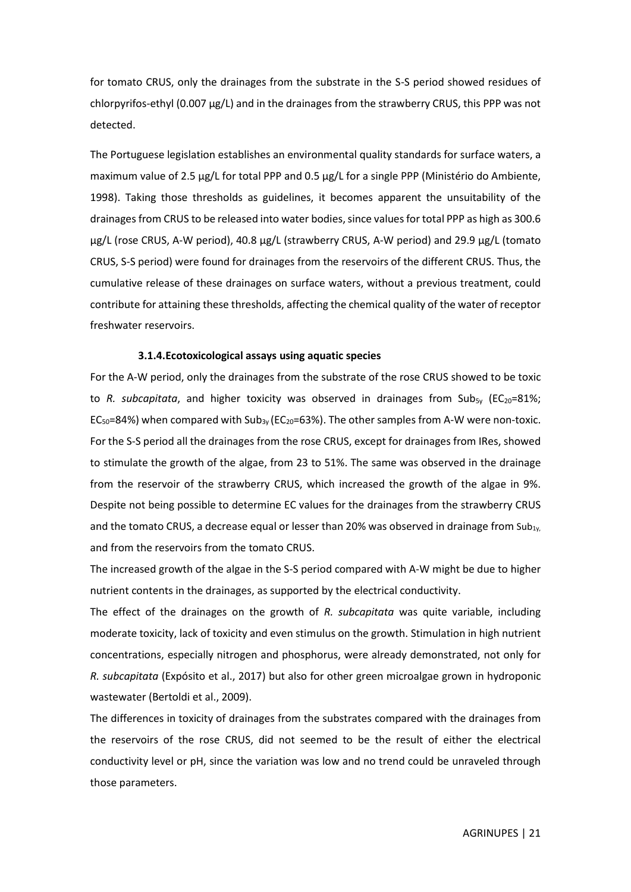for tomato CRUS, only the drainages from the substrate in the S-S period showed residues of chlorpyrifos-ethyl (0.007 µg/L) and in the drainages from the strawberry CRUS, this PPP was not detected.

The Portuguese legislation establishes an environmental quality standards for surface waters, a maximum value of 2.5 µg/L for total PPP and 0.5 µg/L for a single PPP (Ministério do Ambiente, 1998). Taking those thresholds as guidelines, it becomes apparent the unsuitability of the drainages from CRUS to be released into water bodies, since values for total PPP as high as 300.6 µg/L (rose CRUS, A-W period), 40.8 µg/L (strawberry CRUS, A-W period) and 29.9 µg/L (tomato CRUS, S-S period) were found for drainages from the reservoirs of the different CRUS. Thus, the cumulative release of these drainages on surface waters, without a previous treatment, could contribute for attaining these thresholds, affecting the chemical quality of the water of receptor freshwater reservoirs.

#### **3.1.4.Ecotoxicological assays using aquatic species**

<span id="page-20-0"></span>For the A-W period, only the drainages from the substrate of the rose CRUS showed to be toxic to *R. subcapitata*, and higher toxicity was observed in drainages from Sub<sub>5y</sub> (EC<sub>20</sub>=81%;  $EC_{50}=84\%$ ) when compared with Sub<sub>3y</sub> ( $EC_{20}=63\%$ ). The other samples from A-W were non-toxic. For the S-S period all the drainages from the rose CRUS, except for drainages from IRes, showed to stimulate the growth of the algae, from 23 to 51%. The same was observed in the drainage from the reservoir of the strawberry CRUS, which increased the growth of the algae in 9%. Despite not being possible to determine EC values for the drainages from the strawberry CRUS and the tomato CRUS, a decrease equal or lesser than 20% was observed in drainage from Sub $_{1y}$ , and from the reservoirs from the tomato CRUS.

The increased growth of the algae in the S-S period compared with A-W might be due to higher nutrient contents in the drainages, as supported by the electrical conductivity.

The effect of the drainages on the growth of *R. subcapitata* was quite variable, including moderate toxicity, lack of toxicity and even stimulus on the growth. Stimulation in high nutrient concentrations, especially nitrogen and phosphorus, were already demonstrated, not only for *R. subcapitata* (Expósito et al., 2017) but also for other green microalgae grown in hydroponic wastewater (Bertoldi et al., 2009).

The differences in toxicity of drainages from the substrates compared with the drainages from the reservoirs of the rose CRUS, did not seemed to be the result of either the electrical conductivity level or pH, since the variation was low and no trend could be unraveled through those parameters.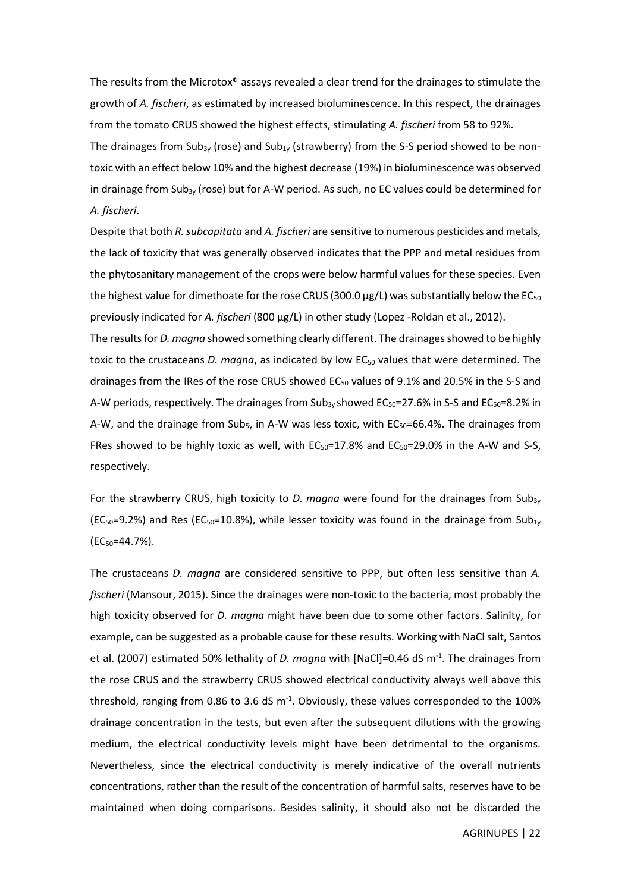The results from the Microtox® assays revealed a clear trend for the drainages to stimulate the growth of *A. fischeri*, as estimated by increased bioluminescence. In this respect, the drainages from the tomato CRUS showed the highest effects, stimulating *A. fischeri* from 58 to 92%.

The drainages from Sub<sub>3y</sub> (rose) and Sub<sub>1y</sub> (strawberry) from the S-S period showed to be nontoxic with an effect below 10% and the highest decrease (19%) in bioluminescence was observed in drainage from Sub<sub>3y</sub> (rose) but for A-W period. As such, no EC values could be determined for *A. fischeri*.

Despite that both *R. subcapitata* and *A. fischeri* are sensitive to numerous pesticides and metals, the lack of toxicity that was generally observed indicates that the PPP and metal residues from the phytosanitary management of the crops were below harmful values for these species. Even the highest value for dimethoate for the rose CRUS (300.0  $\mu$ g/L) was substantially below the EC<sub>50</sub> previously indicated for *A. fischeri* (800 µg/L) in other study (Lopez -Roldan et al., 2012).

The results for *D. magna* showed something clearly different. The drainages showed to be highly toxic to the crustaceans *D. magna*, as indicated by low EC<sub>50</sub> values that were determined. The drainages from the IRes of the rose CRUS showed  $EC_{50}$  values of 9.1% and 20.5% in the S-S and A-W periods, respectively. The drainages from Sub<sub>3y</sub> showed  $EC_{50}=27.6\%$  in S-S and  $EC_{50}=8.2\%$  in A-W, and the drainage from Sub<sub>5y</sub> in A-W was less toxic, with  $EC_{50}=66.4\%$ . The drainages from FRes showed to be highly toxic as well, with  $EC_{50}=17.8\%$  and  $EC_{50}=29.0\%$  in the A-W and S-S, respectively.

For the strawberry CRUS, high toxicity to *D. magna* were found for the drainages from Sub<sub>3v</sub> (EC<sub>50</sub>=9.2%) and Res (EC<sub>50</sub>=10.8%), while lesser toxicity was found in the drainage from Sub<sub>1y</sub> (EC50=44.7%).

The crustaceans *D. magna* are considered sensitive to PPP, but often less sensitive than *A. fischeri* (Mansour, 2015). Since the drainages were non-toxic to the bacteria, most probably the high toxicity observed for *D. magna* might have been due to some other factors. Salinity, for example, can be suggested as a probable cause for these results. Working with NaCl salt, Santos et al. (2007) estimated 50% lethality of *D. magna* with [NaCl]=0.46 dS m-1 . The drainages from the rose CRUS and the strawberry CRUS showed electrical conductivity always well above this threshold, ranging from 0.86 to 3.6 dS  $m^{-1}$ . Obviously, these values corresponded to the 100% drainage concentration in the tests, but even after the subsequent dilutions with the growing medium, the electrical conductivity levels might have been detrimental to the organisms. Nevertheless, since the electrical conductivity is merely indicative of the overall nutrients concentrations, rather than the result of the concentration of harmful salts, reserves have to be maintained when doing comparisons. Besides salinity, it should also not be discarded the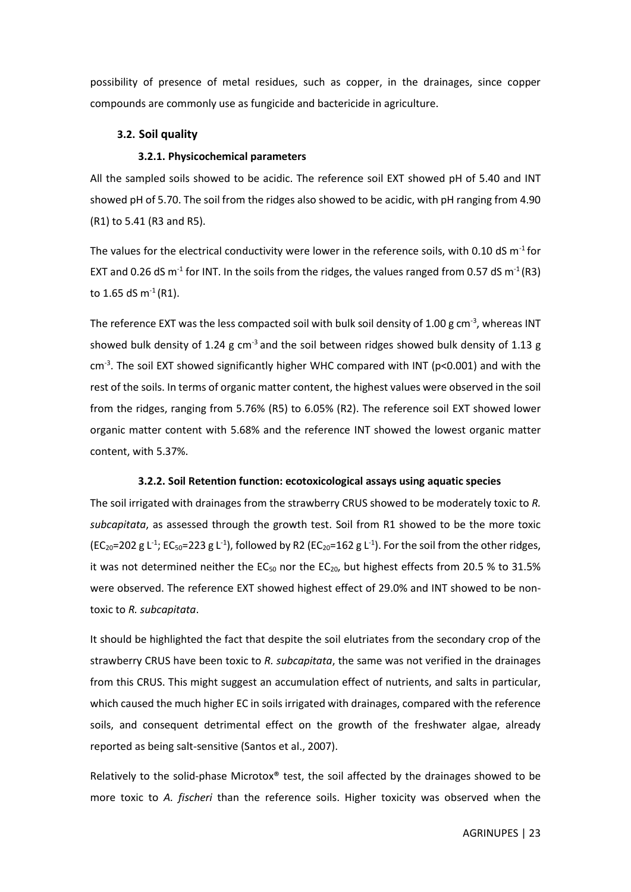possibility of presence of metal residues, such as copper, in the drainages, since copper compounds are commonly use as fungicide and bactericide in agriculture.

#### <span id="page-22-0"></span>**3.2. Soil quality**

#### <span id="page-22-1"></span>**3.2.1. Physicochemical parameters**

All the sampled soils showed to be acidic. The reference soil EXT showed pH of 5.40 and INT showed pH of 5.70. The soil from the ridges also showed to be acidic, with pH ranging from 4.90 (R1) to 5.41 (R3 and R5).

The values for the electrical conductivity were lower in the reference soils, with 0.10 dS  $m^{-1}$  for EXT and 0.26 dS m<sup>-1</sup> for INT. In the soils from the ridges, the values ranged from 0.57 dS m<sup>-1</sup> (R3) to 1.65 dS  $m^{-1}$  (R1).

The reference EXT was the less compacted soil with bulk soil density of 1.00 g cm<sup>-3</sup>, whereas INT showed bulk density of 1.24 g cm<sup>-3</sup> and the soil between ridges showed bulk density of 1.13 g  $cm<sup>-3</sup>$ . The soil EXT showed significantly higher WHC compared with INT (p<0.001) and with the rest of the soils. In terms of organic matter content, the highest values were observed in the soil from the ridges, ranging from 5.76% (R5) to 6.05% (R2). The reference soil EXT showed lower organic matter content with 5.68% and the reference INT showed the lowest organic matter content, with 5.37%.

#### <span id="page-22-2"></span>**3.2.2. Soil Retention function: ecotoxicological assays using aquatic species**

The soil irrigated with drainages from the strawberry CRUS showed to be moderately toxic to *R. subcapitata*, as assessed through the growth test. Soil from R1 showed to be the more toxic  $(EC_{20}=202 \text{ g } L^{-1})$ ; EC<sub>50</sub>=223 g L<sup>-1</sup>), followed by R2 (EC<sub>20</sub>=162 g L<sup>-1</sup>). For the soil from the other ridges, it was not determined neither the EC<sub>50</sub> nor the EC<sub>20</sub>, but highest effects from 20.5 % to 31.5% were observed. The reference EXT showed highest effect of 29.0% and INT showed to be nontoxic to *R. subcapitata*.

It should be highlighted the fact that despite the soil elutriates from the secondary crop of the strawberry CRUS have been toxic to *R. subcapitata*, the same was not verified in the drainages from this CRUS. This might suggest an accumulation effect of nutrients, and salts in particular, which caused the much higher EC in soils irrigated with drainages, compared with the reference soils, and consequent detrimental effect on the growth of the freshwater algae, already reported as being salt-sensitive (Santos et al., 2007).

Relatively to the solid-phase Microtox<sup>®</sup> test, the soil affected by the drainages showed to be more toxic to *A. fischeri* than the reference soils. Higher toxicity was observed when the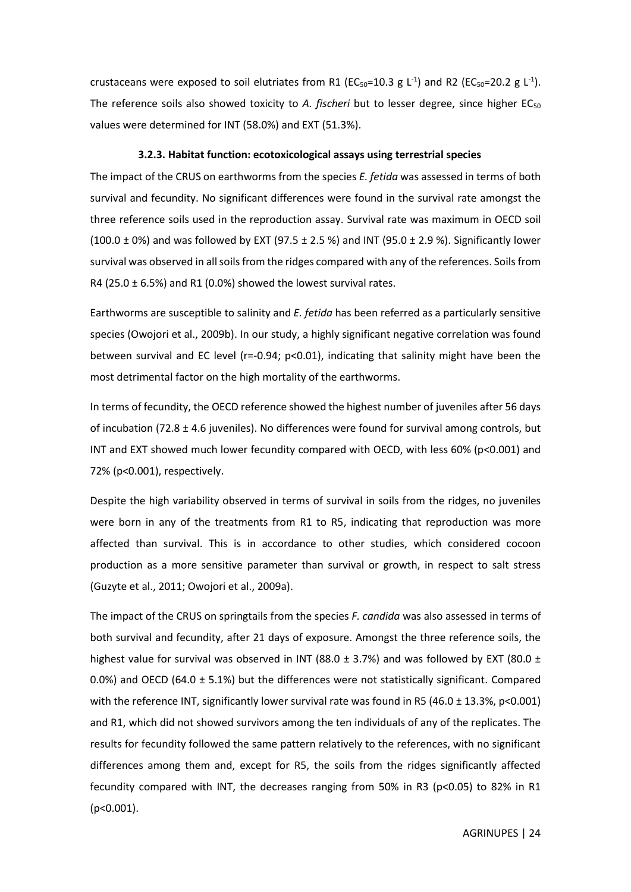crustaceans were exposed to soil elutriates from R1 ( $EC_{50}$ =10.3 g L<sup>-1</sup>) and R2 ( $EC_{50}$ =20.2 g L<sup>-1</sup>). The reference soils also showed toxicity to *A. fischeri* but to lesser degree, since higher EC<sub>50</sub> values were determined for INT (58.0%) and EXT (51.3%).

#### <span id="page-23-0"></span>**3.2.3. Habitat function: ecotoxicological assays using terrestrial species**

The impact of the CRUS on earthworms from the species *E. fetida* was assessed in terms of both survival and fecundity. No significant differences were found in the survival rate amongst the three reference soils used in the reproduction assay. Survival rate was maximum in OECD soil  $(100.0 \pm 0\%)$  and was followed by EXT (97.5  $\pm$  2.5 %) and INT (95.0  $\pm$  2.9 %). Significantly lower survival was observed in all soils from the ridges compared with any of the references. Soils from R4 (25.0  $\pm$  6.5%) and R1 (0.0%) showed the lowest survival rates.

Earthworms are susceptible to salinity and *E. fetida* has been referred as a particularly sensitive species (Owojori et al., 2009b). In our study, a highly significant negative correlation was found between survival and EC level (r=-0.94; p<0.01), indicating that salinity might have been the most detrimental factor on the high mortality of the earthworms.

In terms of fecundity, the OECD reference showed the highest number of juveniles after 56 days of incubation (72.8  $\pm$  4.6 juveniles). No differences were found for survival among controls, but INT and EXT showed much lower fecundity compared with OECD, with less  $60\%$  (p<0.001) and 72% (p<0.001), respectively.

Despite the high variability observed in terms of survival in soils from the ridges, no juveniles were born in any of the treatments from R1 to R5, indicating that reproduction was more affected than survival. This is in accordance to other studies, which considered cocoon production as a more sensitive parameter than survival or growth, in respect to salt stress (Guzyte et al., 2011; Owojori et al., 2009a).

The impact of the CRUS on springtails from the species *F. candida* was also assessed in terms of both survival and fecundity, after 21 days of exposure. Amongst the three reference soils, the highest value for survival was observed in INT (88.0  $\pm$  3.7%) and was followed by EXT (80.0  $\pm$ 0.0%) and OECD (64.0  $\pm$  5.1%) but the differences were not statistically significant. Compared with the reference INT, significantly lower survival rate was found in R5 (46.0  $\pm$  13.3%, p<0.001) and R1, which did not showed survivors among the ten individuals of any of the replicates. The results for fecundity followed the same pattern relatively to the references, with no significant differences among them and, except for R5, the soils from the ridges significantly affected fecundity compared with INT, the decreases ranging from 50% in R3 (p<0.05) to 82% in R1 (p<0.001).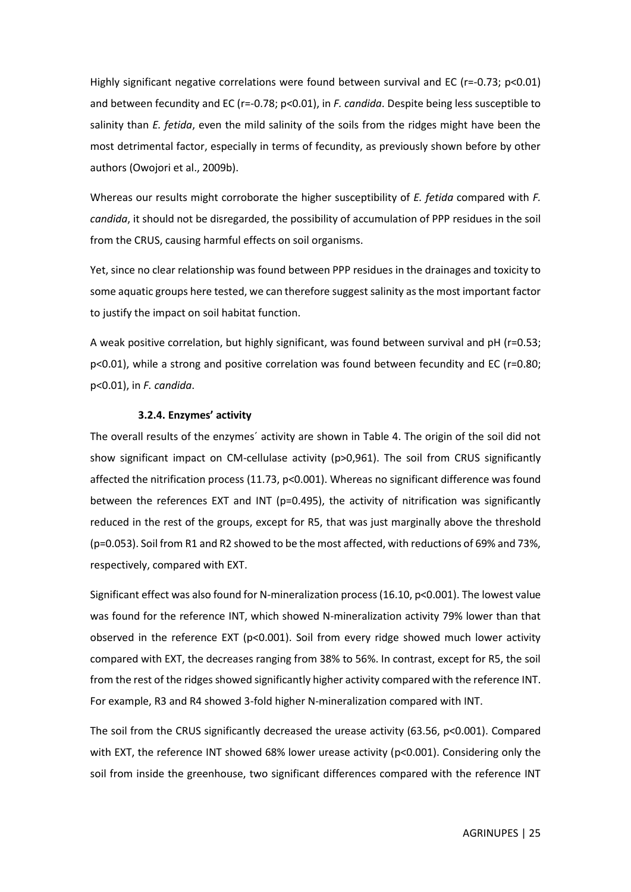Highly significant negative correlations were found between survival and EC (r=-0.73; p<0.01) and between fecundity and EC (r=-0.78; p<0.01), in *F. candida*. Despite being less susceptible to salinity than *E. fetida*, even the mild salinity of the soils from the ridges might have been the most detrimental factor, especially in terms of fecundity, as previously shown before by other authors (Owojori et al., 2009b).

Whereas our results might corroborate the higher susceptibility of *E. fetida* compared with *F. candida*, it should not be disregarded, the possibility of accumulation of PPP residues in the soil from the CRUS, causing harmful effects on soil organisms.

Yet, since no clear relationship was found between PPP residues in the drainages and toxicity to some aquatic groups here tested, we can therefore suggest salinity as the most important factor to justify the impact on soil habitat function.

A weak positive correlation, but highly significant, was found between survival and pH (r=0.53; p<0.01), while a strong and positive correlation was found between fecundity and EC (r=0.80; p<0.01), in *F. candida*.

#### <span id="page-24-0"></span>**3.2.4. Enzymes' activity**

The overall results of the enzymes´ activity are shown in [Table 4.](#page-26-1) The origin of the soil did not show significant impact on CM-cellulase activity (p>0,961). The soil from CRUS significantly affected the nitrification process (11.73, p<0.001). Whereas no significant difference was found between the references EXT and INT ( $p=0.495$ ), the activity of nitrification was significantly reduced in the rest of the groups, except for R5, that was just marginally above the threshold (p=0.053). Soil from R1 and R2 showed to be the most affected, with reductions of 69% and 73%, respectively, compared with EXT.

Significant effect was also found for N-mineralization process (16.10, p<0.001). The lowest value was found for the reference INT, which showed N-mineralization activity 79% lower than that observed in the reference EXT (p<0.001). Soil from every ridge showed much lower activity compared with EXT, the decreases ranging from 38% to 56%. In contrast, except for R5, the soil from the rest of the ridges showed significantly higher activity compared with the reference INT. For example, R3 and R4 showed 3-fold higher N-mineralization compared with INT.

The soil from the CRUS significantly decreased the urease activity (63.56, p<0.001). Compared with EXT, the reference INT showed 68% lower urease activity (p<0.001). Considering only the soil from inside the greenhouse, two significant differences compared with the reference INT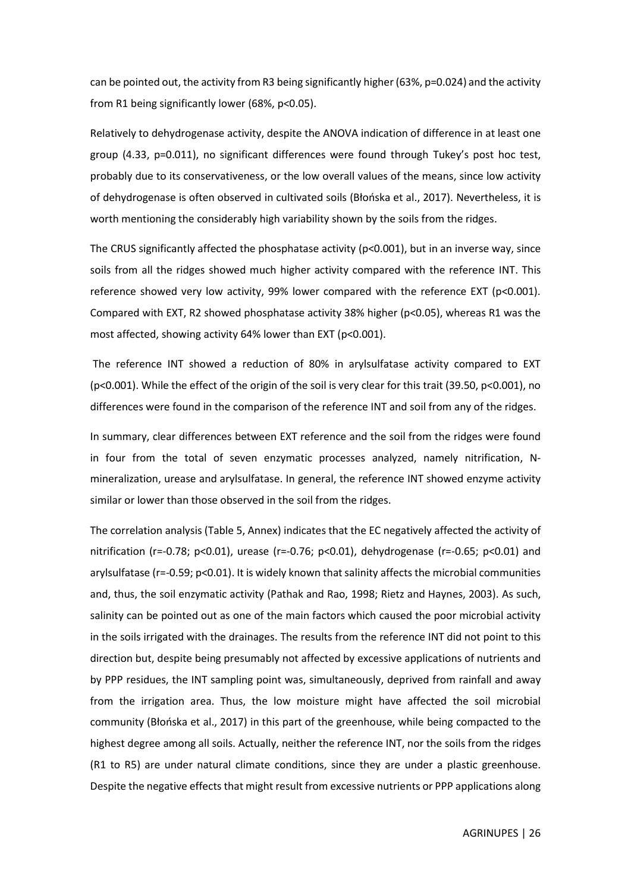can be pointed out, the activity from R3 being significantly higher (63%, p=0.024) and the activity from R1 being significantly lower (68%, p<0.05).

Relatively to dehydrogenase activity, despite the ANOVA indication of difference in at least one group (4.33, p=0.011), no significant differences were found through Tukey's post hoc test, probably due to its conservativeness, or the low overall values of the means, since low activity of dehydrogenase is often observed in cultivated soils (Błońska et al., 2017). Nevertheless, it is worth mentioning the considerably high variability shown by the soils from the ridges.

The CRUS significantly affected the phosphatase activity (p<0.001), but in an inverse way, since soils from all the ridges showed much higher activity compared with the reference INT. This reference showed very low activity, 99% lower compared with the reference EXT (p<0.001). Compared with EXT, R2 showed phosphatase activity 38% higher (p<0.05), whereas R1 was the most affected, showing activity 64% lower than EXT (p<0.001).

The reference INT showed a reduction of 80% in arylsulfatase activity compared to EXT (p<0.001). While the effect of the origin of the soil is very clear for this trait (39.50, p<0.001), no differences were found in the comparison of the reference INT and soil from any of the ridges.

In summary, clear differences between EXT reference and the soil from the ridges were found in four from the total of seven enzymatic processes analyzed, namely nitrification, Nmineralization, urease and arylsulfatase. In general, the reference INT showed enzyme activity similar or lower than those observed in the soil from the ridges.

The correlation analysis [\(Table 5,](#page-29-1) Annex) indicates that the EC negatively affected the activity of nitrification (r=-0.78; p<0.01), urease (r=-0.76; p<0.01), dehydrogenase (r=-0.65; p<0.01) and arylsulfatase (r=-0.59; p<0.01). It is widely known that salinity affects the microbial communities and, thus, the soil enzymatic activity (Pathak and Rao, 1998; Rietz and Haynes, 2003). As such, salinity can be pointed out as one of the main factors which caused the poor microbial activity in the soils irrigated with the drainages. The results from the reference INT did not point to this direction but, despite being presumably not affected by excessive applications of nutrients and by PPP residues, the INT sampling point was, simultaneously, deprived from rainfall and away from the irrigation area. Thus, the low moisture might have affected the soil microbial community (Błońska et al., 2017) in this part of the greenhouse, while being compacted to the highest degree among all soils. Actually, neither the reference INT, nor the soils from the ridges (R1 to R5) are under natural climate conditions, since they are under a plastic greenhouse. Despite the negative effects that might result from excessive nutrients or PPP applications along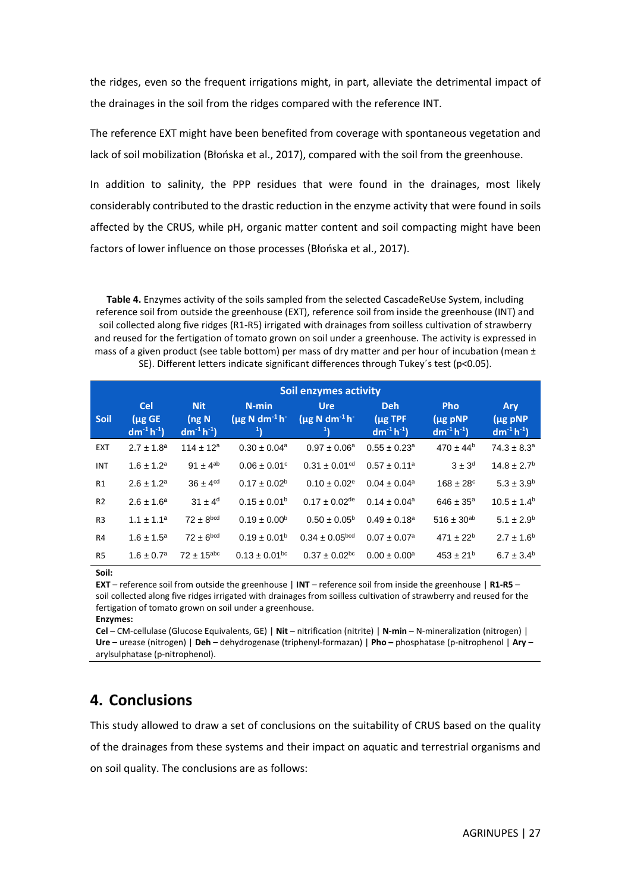the ridges, even so the frequent irrigations might, in part, alleviate the detrimental impact of the drainages in the soil from the ridges compared with the reference INT.

The reference EXT might have been benefited from coverage with spontaneous vegetation and lack of soil mobilization (Błońska et al., 2017), compared with the soil from the greenhouse.

In addition to salinity, the PPP residues that were found in the drainages, most likely considerably contributed to the drastic reduction in the enzyme activity that were found in soils affected by the CRUS, while pH, organic matter content and soil compacting might have been factors of lower influence on those processes (Błońska et al., 2017).

<span id="page-26-1"></span>**Table 4.** Enzymes activity of the soils sampled from the selected CascadeReUse System, including reference soil from outside the greenhouse (EXT), reference soil from inside the greenhouse (INT) and soil collected along five ridges (R1-R5) irrigated with drainages from soilless cultivation of strawberry and reused for the fertigation of tomato grown on soil under a greenhouse. The activity is expressed in mass of a given product (see table bottom) per mass of dry matter and per hour of incubation (mean  $\pm$ SE). Different letters indicate significant differences through Tukey´s test (p<0.05).

|                | <b>Soil enzymes activity</b>                   |                                           |                                              |                                                          |                                               |                                               |                                        |  |  |
|----------------|------------------------------------------------|-------------------------------------------|----------------------------------------------|----------------------------------------------------------|-----------------------------------------------|-----------------------------------------------|----------------------------------------|--|--|
| <b>Soil</b>    | <b>Cel</b><br>$(\mu$ g GE<br>$dm^{-1}h^{-1}$ ) | <b>Nit</b><br>$($ ng N<br>$dm^{-1}h^{-1}$ | $N$ -min<br>$(\mu g N dm^{-1} h^{-1})$<br> 1 | <b>Ure</b><br>$(\mu g N dm^{-1} h^{-1})$<br>$\mathbf{1}$ | <b>Deh</b><br>$(\mu$ g TPF<br>$dm^{-1}h^{-1}$ | <b>Pho</b><br>$(\mu$ g pNP<br>$dm^{-1}h^{-1}$ | Ary<br>$(\mu$ g pNP<br>$dm^{-1}h^{-1}$ |  |  |
| <b>EXT</b>     | $2.7 \pm 1.8^a$                                | $114 \pm 12^a$                            | $0.30 \pm 0.04^a$                            | $0.97 \pm 0.06^a$                                        | $0.55 \pm 0.23$ <sup>a</sup>                  | $470 \pm 44^b$                                | $74.3 \pm 8.3^a$                       |  |  |
| <b>INT</b>     | $1.6 \pm 1.2^a$                                | $91 \pm 4^{ab}$                           | $0.06 \pm 0.01$ °                            | $0.31 \pm 0.01$ <sup>cd</sup>                            | $0.57 \pm 0.11^a$                             | $3 \pm 3^d$                                   | $14.8 \pm 2.7$ <sup>b</sup>            |  |  |
| R1             | $2.6 \pm 1.2^a$                                | $36 \pm 4$ <sup>cd</sup>                  | $0.17 \pm 0.02^b$                            | $0.10 \pm 0.02$ <sup>e</sup>                             | $0.04 \pm 0.04$ <sup>a</sup>                  | $168 \pm 28$ <sup>c</sup>                     | $5.3 \pm 3.9^{\rm b}$                  |  |  |
| R <sub>2</sub> | $2.6 \pm 1.6^a$                                | $31 \pm 4^d$                              | $0.15 \pm 0.01^{\rm b}$                      | $0.17 \pm 0.02$ <sup>de</sup>                            | $0.14 \pm 0.04$ <sup>a</sup>                  | $646 \pm 35^{\circ}$                          | $10.5 \pm 1.4^b$                       |  |  |
| R <sub>3</sub> | $1.1 \pm 1.1^a$                                | $72 \pm 8^{bcd}$                          | $0.19 \pm 0.00^{\rm b}$                      | $0.50 \pm 0.05^{\rm b}$                                  | $0.49 \pm 0.18^{\circ}$                       | $516 \pm 30^{ab}$                             | $5.1 \pm 2.9^{\rm b}$                  |  |  |
| R <sub>4</sub> | $1.6 \pm 1.5^a$                                | $72 \pm 6^{bcd}$                          | $0.19 \pm 0.01^{\rm b}$                      | $0.34 \pm 0.05^{bcd}$                                    | $0.07 \pm 0.07^a$                             | $471 \pm 22^{b}$                              | $2.7 \pm 1.6^b$                        |  |  |
| R <sub>5</sub> | $1.6 \pm 0.7^a$                                | $72 \pm 15^{\text{abc}}$                  | $0.13 \pm 0.01^{bc}$                         | $0.37 \pm 0.02$ <sup>bc</sup>                            | $0.00 \pm 0.00^a$                             | $453 \pm 21^{b}$                              | $6.7 \pm 3.4^b$                        |  |  |

**Soil:**

**EXT** – reference soil from outside the greenhouse | **INT** – reference soil from inside the greenhouse | **R1-R5** – soil collected along five ridges irrigated with drainages from soilless cultivation of strawberry and reused for the fertigation of tomato grown on soil under a greenhouse.

**Enzymes:** 

**Cel** – CM-cellulase (Glucose Equivalents, GE) | **Nit** – nitrification (nitrite) | **N-min** – N-mineralization (nitrogen) | **Ure** – urease (nitrogen) | **Deh** – dehydrogenase (triphenyl-formazan) | **Pho –** phosphatase (p-nitrophenol | **Ary** – arylsulphatase (p-nitrophenol).

## <span id="page-26-0"></span>**4. Conclusions**

This study allowed to draw a set of conclusions on the suitability of CRUS based on the quality of the drainages from these systems and their impact on aquatic and terrestrial organisms and on soil quality. The conclusions are as follows: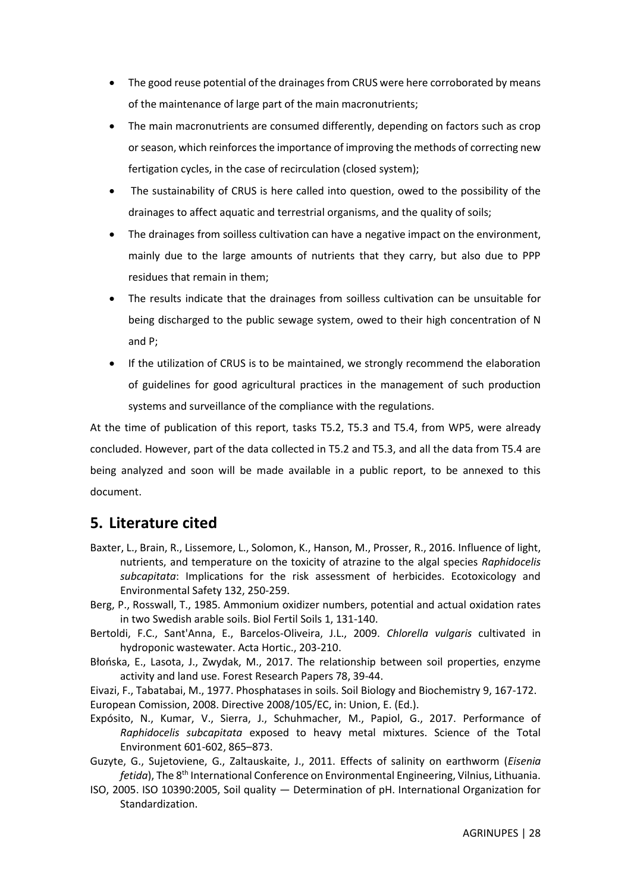- The good reuse potential of the drainages from CRUS were here corroborated by means of the maintenance of large part of the main macronutrients;
- The main macronutrients are consumed differently, depending on factors such as crop or season, which reinforces the importance of improving the methods of correcting new fertigation cycles, in the case of recirculation (closed system);
- The sustainability of CRUS is here called into question, owed to the possibility of the drainages to affect aquatic and terrestrial organisms, and the quality of soils;
- The drainages from soilless cultivation can have a negative impact on the environment, mainly due to the large amounts of nutrients that they carry, but also due to PPP residues that remain in them;
- The results indicate that the drainages from soilless cultivation can be unsuitable for being discharged to the public sewage system, owed to their high concentration of N and P;
- If the utilization of CRUS is to be maintained, we strongly recommend the elaboration of guidelines for good agricultural practices in the management of such production systems and surveillance of the compliance with the regulations.

At the time of publication of this report, tasks T5.2, T5.3 and T5.4, from WP5, were already concluded. However, part of the data collected in T5.2 and T5.3, and all the data from T5.4 are being analyzed and soon will be made available in a public report, to be annexed to this document.

## <span id="page-27-0"></span>**5. Literature cited**

- Baxter, L., Brain, R., Lissemore, L., Solomon, K., Hanson, M., Prosser, R., 2016. Influence of light, nutrients, and temperature on the toxicity of atrazine to the algal species *Raphidocelis subcapitata*: Implications for the risk assessment of herbicides. Ecotoxicology and Environmental Safety 132, 250-259.
- Berg, P., Rosswall, T., 1985. Ammonium oxidizer numbers, potential and actual oxidation rates in two Swedish arable soils. Biol Fertil Soils 1, 131-140.
- Bertoldi, F.C., Sant'Anna, E., Barcelos-Oliveira, J.L., 2009. *Chlorella vulgaris* cultivated in hydroponic wastewater. Acta Hortic., 203-210.
- Błońska, E., Lasota, J., Zwydak, M., 2017. The relationship between soil properties, enzyme activity and land use. Forest Research Papers 78, 39-44.

Eivazi, F., Tabatabai, M., 1977. Phosphatases in soils. Soil Biology and Biochemistry 9, 167-172. European Comission, 2008. Directive 2008/105/EC, in: Union, E. (Ed.).

- Expósito, N., Kumar, V., Sierra, J., Schuhmacher, M., Papiol, G., 2017. Performance of *Raphidocelis subcapitata* exposed to heavy metal mixtures. Science of the Total Environment 601-602, 865–873.
- Guzyte, G., Sujetoviene, G., Zaltauskaite, J., 2011. Effects of salinity on earthworm (*Eisenia fetida*), The 8th International Conference on Environmental Engineering, Vilnius, Lithuania.
- ISO, 2005. ISO 10390:2005, Soil quality Determination of pH. International Organization for Standardization.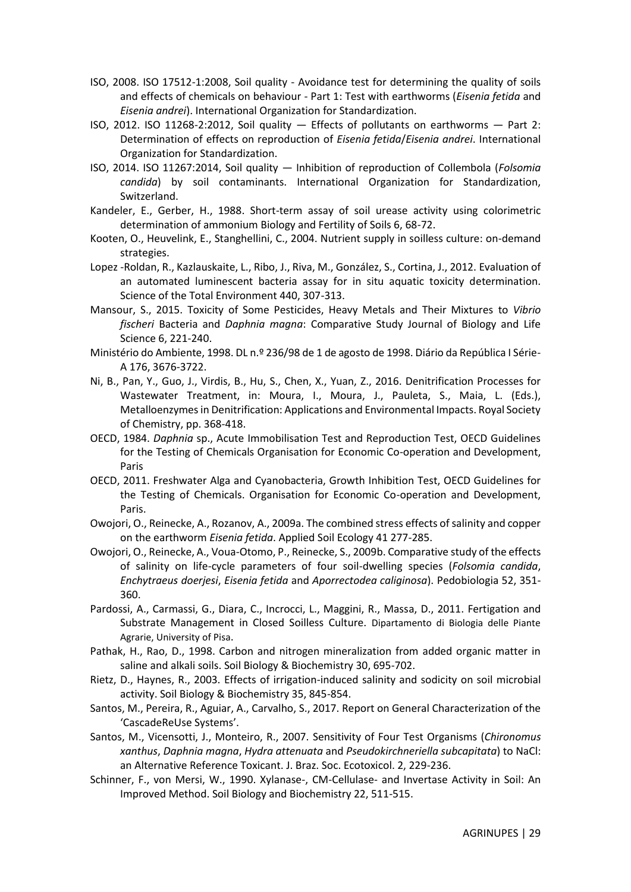- ISO, 2008. ISO 17512-1:2008, Soil quality Avoidance test for determining the quality of soils and effects of chemicals on behaviour - Part 1: Test with earthworms (*Eisenia fetida* and *Eisenia andrei*). International Organization for Standardization.
- ISO, 2012. ISO 11268-2:2012, Soil quality Effects of pollutants on earthworms Part 2: Determination of effects on reproduction of *Eisenia fetida*/*Eisenia andrei*. International Organization for Standardization.
- ISO, 2014. ISO 11267:2014, Soil quality Inhibition of reproduction of Collembola (*Folsomia candida*) by soil contaminants. International Organization for Standardization, Switzerland.
- Kandeler, E., Gerber, H., 1988. Short-term assay of soil urease activity using colorimetric determination of ammonium Biology and Fertility of Soils 6, 68-72.
- Kooten, O., Heuvelink, E., Stanghellini, C., 2004. Nutrient supply in soilless culture: on-demand strategies.
- Lopez -Roldan, R., Kazlauskaite, L., Ribo, J., Riva, M., González, S., Cortina, J., 2012. Evaluation of an automated luminescent bacteria assay for in situ aquatic toxicity determination. Science of the Total Environment 440, 307-313.
- Mansour, S., 2015. Toxicity of Some Pesticides, Heavy Metals and Their Mixtures to *Vibrio fischeri* Bacteria and *Daphnia magna*: Comparative Study Journal of Biology and Life Science 6, 221-240.
- Ministério do Ambiente, 1998. DL n.º 236/98 de 1 de agosto de 1998. Diário da República I Série-A 176, 3676-3722.
- Ni, B., Pan, Y., Guo, J., Virdis, B., Hu, S., Chen, X., Yuan, Z., 2016. Denitrification Processes for Wastewater Treatment, in: Moura, I., Moura, J., Pauleta, S., Maia, L. (Eds.), Metalloenzymes in Denitrification: Applications and Environmental Impacts. Royal Society of Chemistry, pp. 368-418.
- OECD, 1984. *Daphnia* sp., Acute Immobilisation Test and Reproduction Test, OECD Guidelines for the Testing of Chemicals Organisation for Economic Co-operation and Development, Paris
- OECD, 2011. Freshwater Alga and Cyanobacteria, Growth Inhibition Test, OECD Guidelines for the Testing of Chemicals. Organisation for Economic Co-operation and Development, Paris.
- Owojori, O., Reinecke, A., Rozanov, A., 2009a. The combined stress effects of salinity and copper on the earthworm *Eisenia fetida*. Applied Soil Ecology 41 277-285.
- Owojori, O., Reinecke, A., Voua-Otomo, P., Reinecke, S., 2009b. Comparative study of the effects of salinity on life-cycle parameters of four soil-dwelling species (*Folsomia candida*, *Enchytraeus doerjesi*, *Eisenia fetida* and *Aporrectodea caliginosa*). Pedobiologia 52, 351- 360.
- Pardossi, A., Carmassi, G., Diara, C., Incrocci, L., Maggini, R., Massa, D., 2011. Fertigation and Substrate Management in Closed Soilless Culture. Dipartamento di Biologia delle Piante Agrarie, University of Pisa.
- Pathak, H., Rao, D., 1998. Carbon and nitrogen mineralization from added organic matter in saline and alkali soils. Soil Biology & Biochemistry 30, 695-702.
- Rietz, D., Haynes, R., 2003. Effects of irrigation-induced salinity and sodicity on soil microbial activity. Soil Biology & Biochemistry 35, 845-854.
- Santos, M., Pereira, R., Aguiar, A., Carvalho, S., 2017. Report on General Characterization of the 'CascadeReUse Systems'.
- Santos, M., Vicensotti, J., Monteiro, R., 2007. Sensitivity of Four Test Organisms (*Chironomus xanthus*, *Daphnia magna*, *Hydra attenuata* and *Pseudokirchneriella subcapitata*) to NaCl: an Alternative Reference Toxicant. J. Braz. Soc. Ecotoxicol. 2, 229-236.
- Schinner, F., von Mersi, W., 1990. Xylanase-, CM-Cellulase- and Invertase Activity in Soil: An Improved Method. Soil Biology and Biochemistry 22, 511-515.